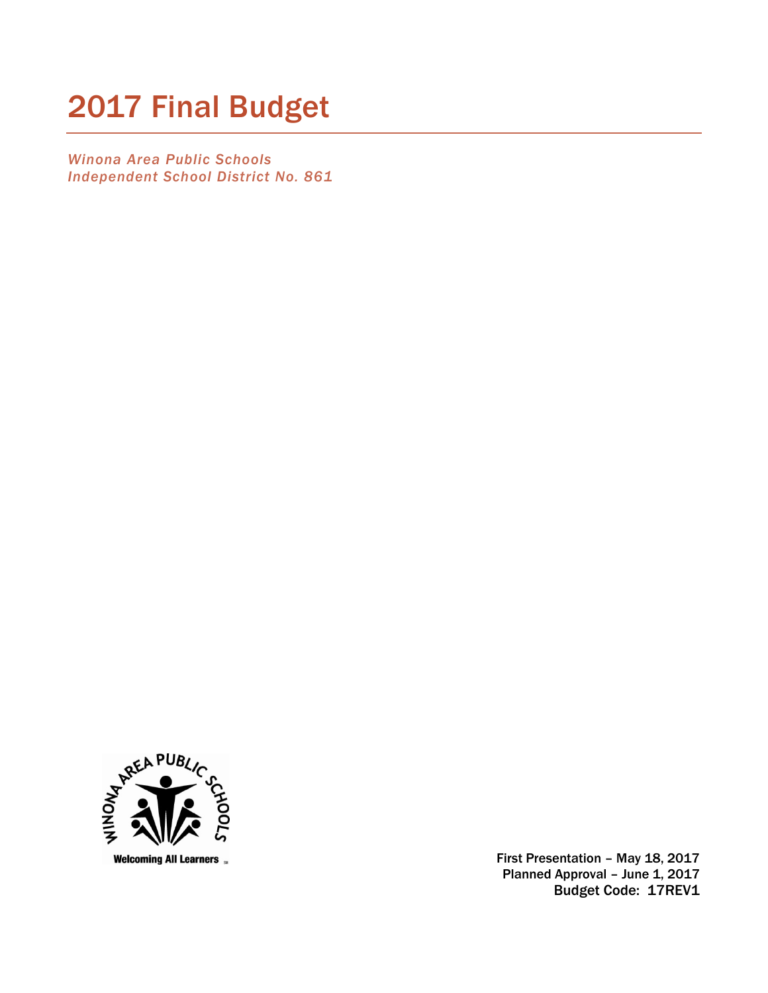# 2017 Final Budget

*Winona Area Public Schools Independent School District No. 861* 



 First Presentation – May 18, 2017 Planned Approval - June 1, 2017 Budget Code: 17REV1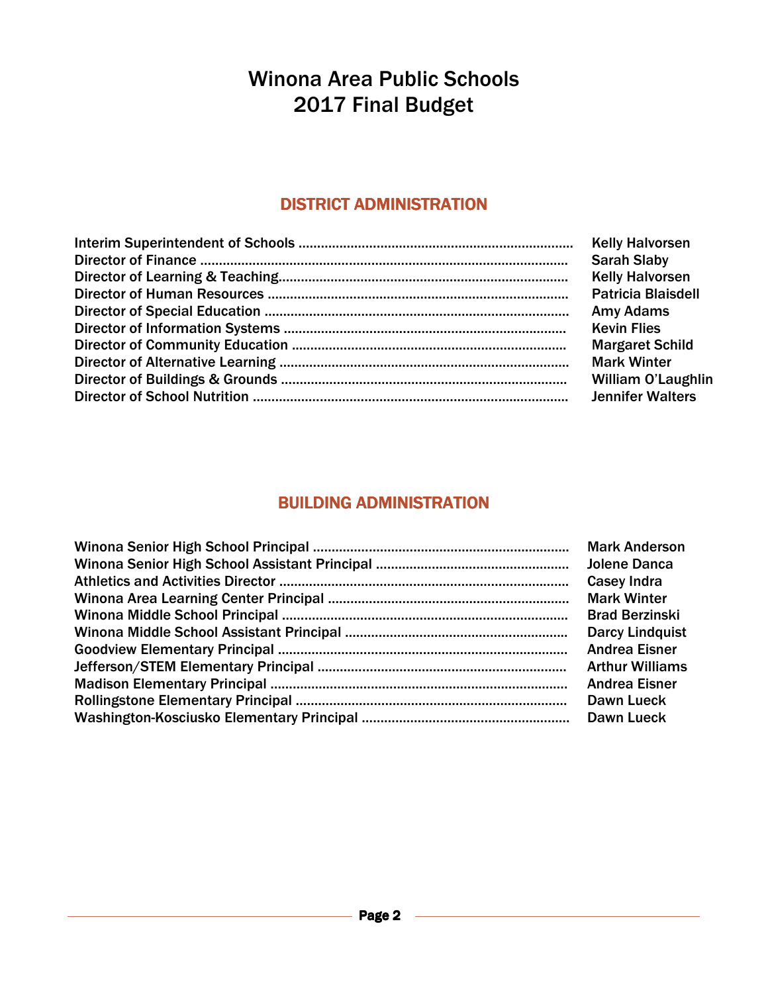# Winona Area Public Schools 2017 Final Budget

### DISTRICT ADMINISTRATION

| <b>Kelly Halvorsen</b>    |
|---------------------------|
| <b>Sarah Slaby</b>        |
| <b>Kelly Halvorsen</b>    |
| <b>Patricia Blaisdell</b> |
| <b>Amy Adams</b>          |
| <b>Kevin Flies</b>        |
| <b>Margaret Schild</b>    |
| <b>Mark Winter</b>        |
| William O'Laugh           |
| <b>Jennifer Walters</b>   |

n O'Laughlin

### **BUILDING ADMINISTRATION**

| <b>Mark Anderson</b>   |
|------------------------|
| Jolene Danca           |
| <b>Casey Indra</b>     |
| <b>Mark Winter</b>     |
| <b>Brad Berzinski</b>  |
| <b>Darcy Lindquist</b> |
| <b>Andrea Eisner</b>   |
| <b>Arthur Williams</b> |
| <b>Andrea Eisner</b>   |
| Dawn Lueck             |
| Dawn Lueck             |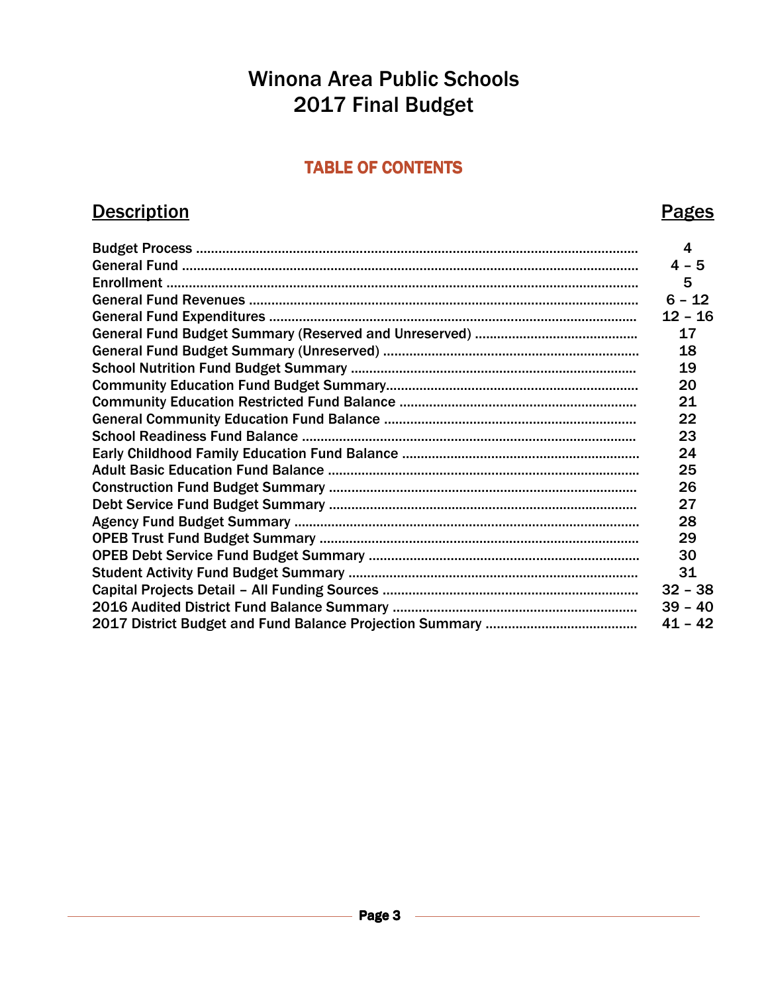# Winona Area Public Schools 2017 Final Budget

### TABLE OF CONTENTS

### Description **Pages**

#### Budget Process ……………………………………………………………………………………………………….. 4 General Fund ………………………..…………………...…………………………………….……………………… 4 – 5 Enrollment ………………………………………………………………………………………………………………. 5 General Fund Revenues ………………………..…………………...…………………………………….……… 6 – 12 General Fund Expenditures ……………………………………………………………………………………... 12 – 16 General Fund Budget Summary (Reserved and Unreserved) …...………………..……………... 17 General Fund Budget Summary (Unreserved) ……………………………..………………………….… 18 School Nutrition Fund Budget Summary ...………………………………………………..……………... 19 Community Education Fund Budget Summary...…………………………….…………………………. 20 Community Education Restricted Fund Balance ……………………………………..……………….. 21 General Community Education Fund Balance …………………………………………..……………… 22 School Readiness Fund Balance ……………………………………………….…………………………….. 23 Early Childhood Family Education Fund Balance …………………………………………….………… 24 Adult Basic Education Fund Balance ………………………………………………………………...……... 25 Construction Fund Budget Summary …………………………………………...…………………..……… 26 Debt Service Fund Budget Summary ……………………………...……………………………..………… 27 Agency Fund Budget Summary …...…………………………………………………………………...……… 28 OPEB Trust Fund Budget Summary …………………………………………………………………….……. 29 OPEB Debt Service Fund Budget Summary ………………………………………………..……….……. 30 Student Activity Fund Budget Summary …………………………………………………...……………… 31 Capital Projects Detail – All Funding Sources ………………………………………..…………………. 32 – 38 2016 Audited District Fund Balance Summary ….……………………….………………..………….. 39 – 40 2017 District Budget and Fund Balance Projection Summary ……………...…..…….……….. 41 – 42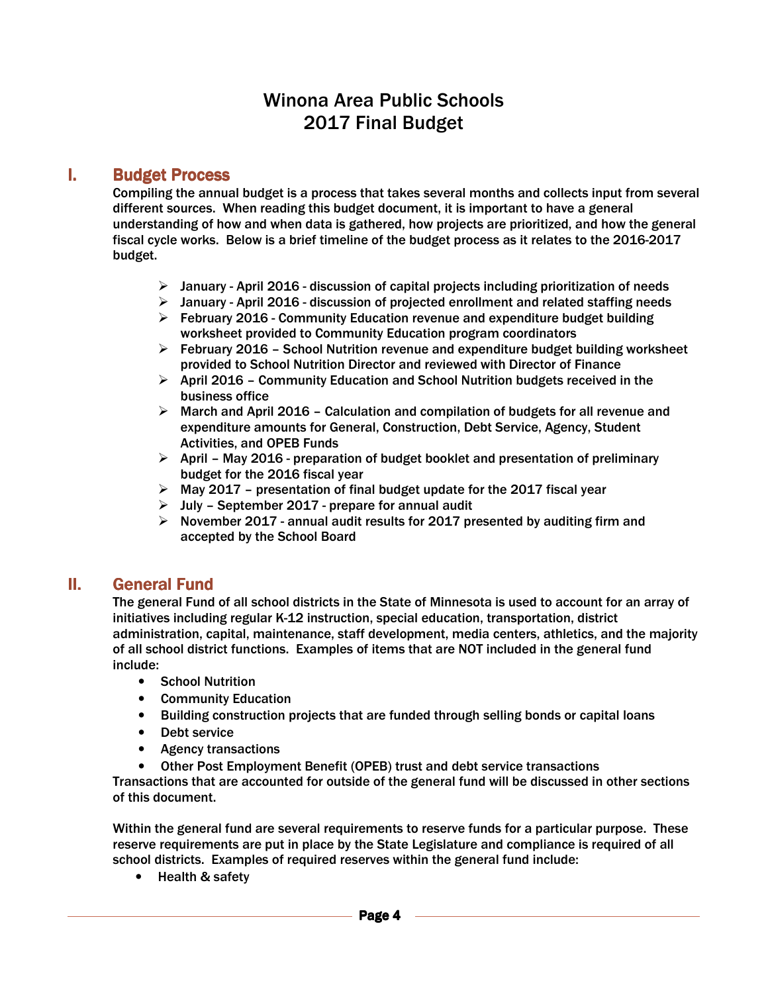### Winona Area Public Schools 2017 Final Budget

### **I.** Budget Process

Compiling the annual budget is a process that takes several months and collects input from several different sources. When reading this budget document, it is important to have a general understanding of how and when data is gathered, how projects are prioritized, and how the general fiscal cycle works. Below is a brief timeline of the budget process as it relates to the 2016-2017 budget.

- $\triangleright$  January April 2016 discussion of capital projects including prioritization of needs
- $\triangleright$  January April 2016 discussion of projected enrollment and related staffing needs
- $\triangleright$  February 2016 Community Education revenue and expenditure budget building worksheet provided to Community Education program coordinators
- $\triangleright$  February 2016 School Nutrition revenue and expenditure budget building worksheet provided to School Nutrition Director and reviewed with Director of Finance
- $\triangleright$  April 2016 Community Education and School Nutrition budgets received in the business office
- $\triangleright$  March and April 2016 Calculation and compilation of budgets for all revenue and expenditure amounts for General, Construction, Debt Service, Agency, Student Activities, and OPEB Funds
- $\triangleright$  April May 2016 preparation of budget booklet and presentation of preliminary budget for the 2016 fiscal year
- $\triangleright$  May 2017 presentation of final budget update for the 2017 fiscal year
- $\triangleright$  July September 2017 prepare for annual audit
- $\triangleright$  November 2017 annual audit results for 2017 presented by auditing firm and accepted by the School Board

### **II.** General Fund

The general Fund of all school districts in the State of Minnesota is used to account for an array of initiatives including regular K-12 instruction, special education, transportation, district administration, capital, maintenance, staff development, media centers, athletics, and the majority of all school district functions. Examples of items that are NOT included in the general fund include:

- School Nutrition
- Community Education
- Building construction projects that are funded through selling bonds or capital loans
- Debt service
- Agency transactions
- Other Post Employment Benefit (OPEB) trust and debt service transactions

Transactions that are accounted for outside of the general fund will be discussed in other sections of this document.

Within the general fund are several requirements to reserve funds for a particular purpose. These reserve requirements are put in place by the State Legislature and compliance is required of all school districts. Examples of required reserves within the general fund include:

• Health & safety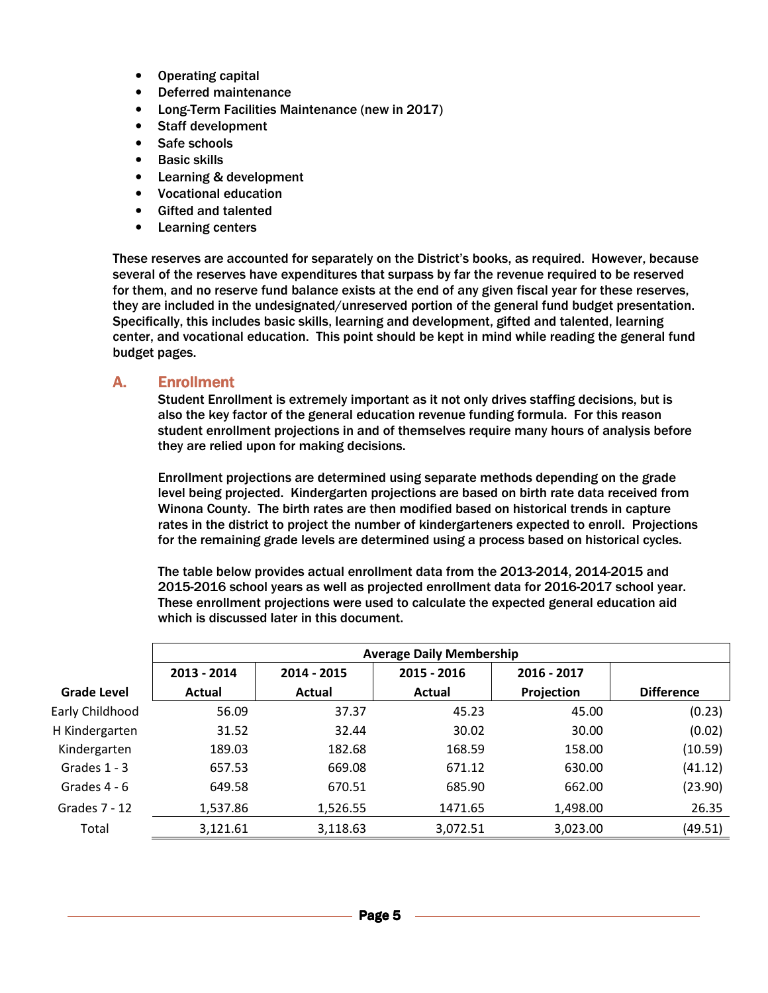- Operating capital
- Deferred maintenance
- Long-Term Facilities Maintenance (new in 2017)
- Staff development
- Safe schools
- Basic skills
- Learning & development
- Vocational education
- Gifted and talented
- Learning centers

These reserves are accounted for separately on the District's books, as required. However, because several of the reserves have expenditures that surpass by far the revenue required to be reserved for them, and no reserve fund balance exists at the end of any given fiscal year for these reserves, they are included in the undesignated/unreserved portion of the general fund budget presentation. Specifically, this includes basic skills, learning and development, gifted and talented, learning center, and vocational education. This point should be kept in mind while reading the general fund budget pages.

#### A. Enrollment

Student Enrollment is extremely important as it not only drives staffing decisions, but is also the key factor of the general education revenue funding formula. For this reason student enrollment projections in and of themselves require many hours of analysis before they are relied upon for making decisions.

Enrollment projections are determined using separate methods depending on the grade level being projected. Kindergarten projections are based on birth rate data received from Winona County. The birth rates are then modified based on historical trends in capture rates in the district to project the number of kindergarteners expected to enroll. Projections for the remaining grade levels are determined using a process based on historical cycles.

The table below provides actual enrollment data from the 2013-2014, 2014-2015 and 2015-2016 school years as well as projected enrollment data for 2016-2017 school year. These enrollment projections were used to calculate the expected general education aid which is discussed later in this document.

|                    | <b>Average Daily Membership</b> |             |             |             |                   |  |  |  |  |  |  |  |
|--------------------|---------------------------------|-------------|-------------|-------------|-------------------|--|--|--|--|--|--|--|
|                    | 2013 - 2014                     | 2014 - 2015 | 2015 - 2016 | 2016 - 2017 |                   |  |  |  |  |  |  |  |
| <b>Grade Level</b> | Actual                          | Actual      | Actual      | Projection  | <b>Difference</b> |  |  |  |  |  |  |  |
| Early Childhood    | 56.09                           | 37.37       | 45.23       | 45.00       | (0.23)            |  |  |  |  |  |  |  |
| H Kindergarten     | 31.52                           | 32.44       | 30.02       | 30.00       | (0.02)            |  |  |  |  |  |  |  |
| Kindergarten       | 189.03                          | 182.68      | 168.59      | 158.00      | (10.59)           |  |  |  |  |  |  |  |
| Grades $1 - 3$     | 657.53                          | 669.08      | 671.12      | 630.00      | (41.12)           |  |  |  |  |  |  |  |
| Grades 4 - 6       | 649.58                          | 670.51      | 685.90      | 662.00      | (23.90)           |  |  |  |  |  |  |  |
| Grades 7 - 12      | 1,537.86                        | 1,526.55    | 1471.65     | 1,498.00    | 26.35             |  |  |  |  |  |  |  |
| Total              | 3,121.61                        | 3,118.63    | 3,072.51    | 3,023.00    | (49.51)           |  |  |  |  |  |  |  |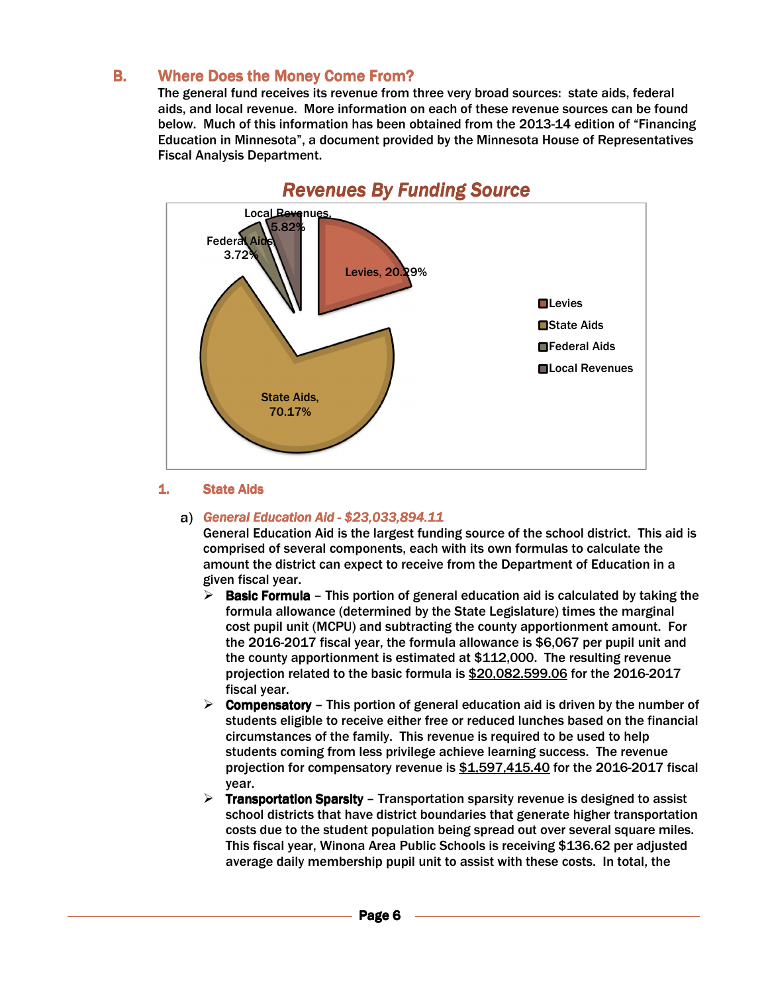### **B.** Where Does the Money Come From?

The general fund receives its revenue from three very broad sources: state aids, federal aids, and local revenue. More information on each of these revenue sources can be found below. Much of this information has been obtained from the 2013-14 edition of "Financing Education in Minnesota", a document provided by the Minnesota House of Representatives Fiscal Analysis Department.



### **Revenues By Funding Source**

#### 1. State Aids

#### *General Education Aid Education Aid-\$23,033,894.11 3,033,894.11 3,033,894.11*

General Education Aid is the largest funding source of the school district. This aid is comprised of several components, each with its own formulas to calculate the amount the district can expect to receive from the Department of Education in a given fiscal year.

- **Basic Formula** This portion of general education aid is calculated by taking the formula allowance (determined by the State Legislature) times the marginal cost pupil unit (MCPU) and subtracting the county apportionment amount. For the 2016-2017 fiscal year, the formula allowance is \$6,067 per pupil unit and the county apportionment is estimated at \$112,000. The resulting revenue projection related to the basic formula is \$20,082.599.06 for the 2016-2017 fiscal year.
- **Compensatory** This portion of general education aid is driven by the number of students eligible to receive either free or reduced lunches based on the financial circumstances of the family. This revenue is required to be used to help students coming from less privilege achieve learning success. The revenue projection for compensatory revenue is \$1,597,415.40 for the 2016-2017 fiscal year.
- **Fransportation Sparsity Transportation sparsity revenue is designed to assist** school districts that have district boundaries that generate higher transportation costs due to the student population being spread out over several square miles. This fiscal year, Winona Area Public Schools is receiving \$136.62 per adjusted average daily membership pupil unit to assist with these costs. In total, the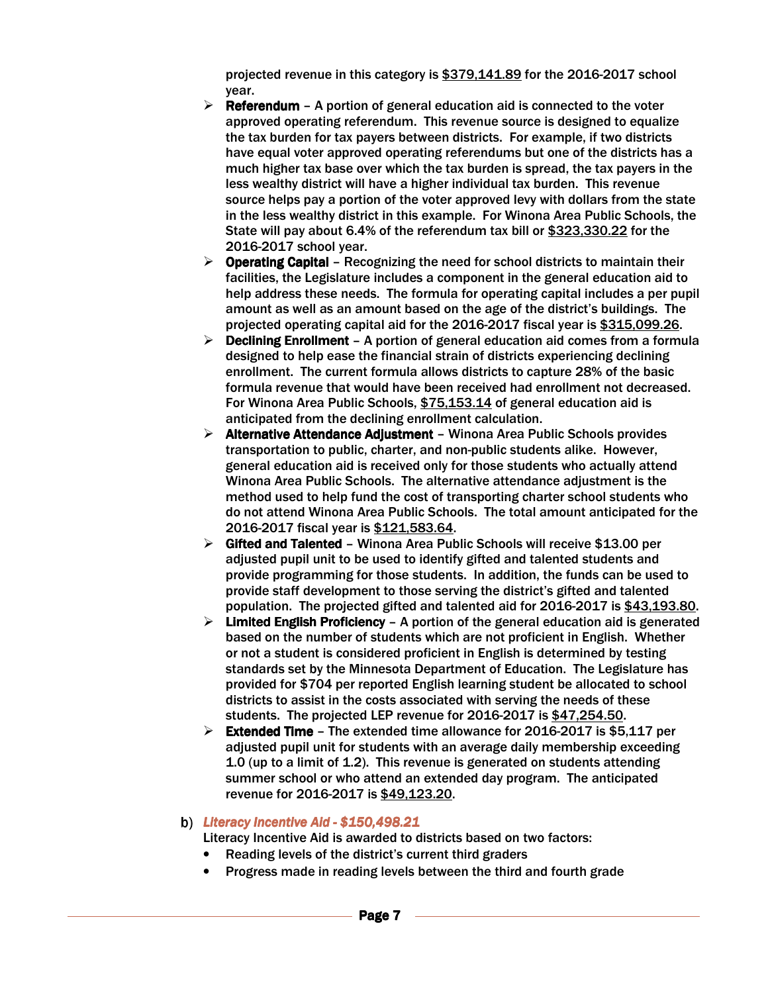projected revenue in this category is \$379,141.89 for the 2016-2017 school year.

- $\triangleright$  Referendum A portion of general education aid is connected to the voter approved operating referendum. This revenue source is designed to equalize the tax burden for tax payers between districts. For example, if two districts have equal voter approved operating referendums but one of the districts has a much higher tax base over which the tax burden is spread, the tax payers in the less wealthy district will have a higher individual tax burden. This revenue source helps pay a portion of the voter approved levy with dollars from the state in the less wealthy district in this example. For Winona Area Public Schools, the State will pay about 6.4% of the referendum tax bill or \$323,330.22 for the 2016-2017 school year.
- $\triangleright$  Operating Capital Recognizing the need for school districts to maintain their facilities, the Legislature includes a component in the general education aid to help address these needs. The formula for operating capital includes a per pupil amount as well as an amount based on the age of the district's buildings. The projected operating capital aid for the 2016-2017 fiscal year is \$315,099.26.
- $\triangleright$  Declining Enrollment A portion of general education aid comes from a formula designed to help ease the financial strain of districts experiencing declining enrollment. The current formula allows districts to capture 28% of the basic formula revenue that would have been received had enrollment not decreased. For Winona Area Public Schools, \$75,153.14 of general education aid is anticipated from the declining enrollment calculation.
- $\triangleright$  Alternative Attendance Adjustment Winona Area Public Schools provides transportation to public, charter, and non-public students alike. However, general education aid is received only for those students who actually attend Winona Area Public Schools. The alternative attendance adjustment is the method used to help fund the cost of transporting charter school students who do not attend Winona Area Public Schools. The total amount anticipated for the 2016-2017 fiscal year is \$121,583.64.
- $\triangleright$  Gifted and Talented Winona Area Public Schools will receive \$13.00 per adjusted pupil unit to be used to identify gifted and talented students and provide programming for those students. In addition, the funds can be used to provide staff development to those serving the district's gifted and talented population. The projected gifted and talented aid for 2016-2017 is \$43,193.80.
- $\triangleright$  Limited English Proficiency A portion of the general education aid is generated based on the number of students which are not proficient in English. Whether or not a student is considered proficient in English is determined by testing standards set by the Minnesota Department of Education. The Legislature has provided for \$704 per reported English learning student be allocated to school districts to assist in the costs associated with serving the needs of these students. The projected LEP revenue for 2016-2017 is \$47,254.50.
- Extended Time The extended time allowance for 2016-2017 is \$5,117 per adjusted pupil unit for students with an average daily membership exceeding 1.0 (up to a limit of 1.2). This revenue is generated on students attending summer school or who attend an extended day program. The anticipated revenue for 2016-2017 is \$49,123.20.

#### *Literacy Incentive Aid Literacy Aid-\$150,498.21 0,498.21 0,498.21*

Literacy Incentive Aid is awarded to districts based on two factors:

- Reading levels of the district's current third graders
- Progress made in reading levels between the third and fourth grade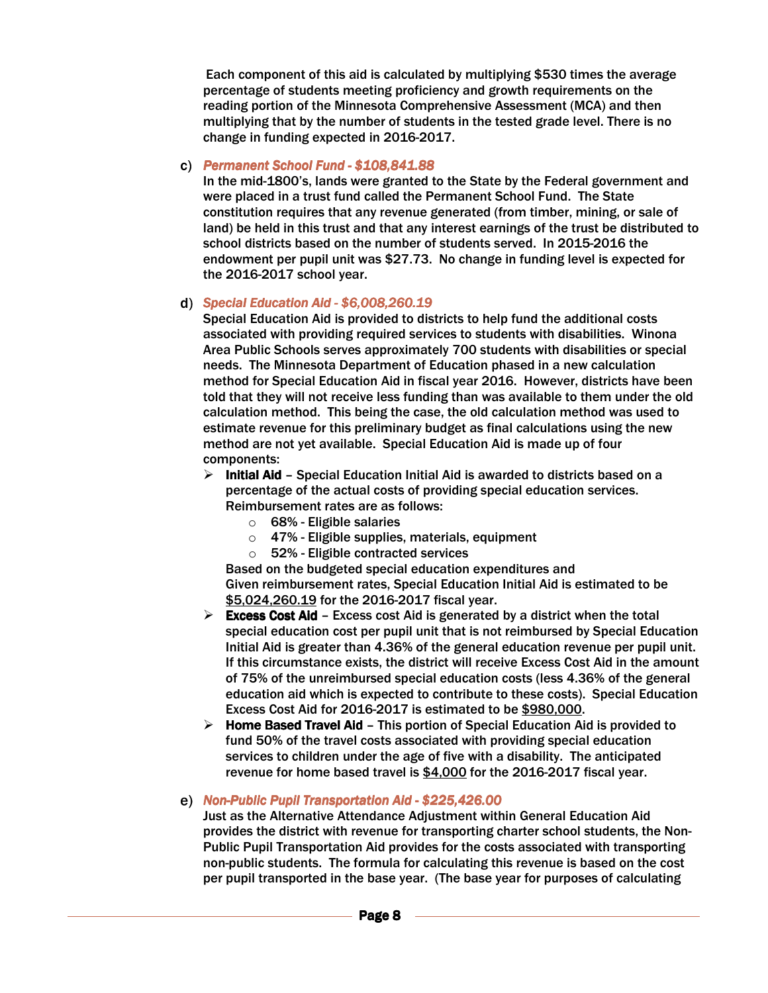Each component of this aid is calculated by multiplying \$530 times the average percentage of students meeting proficiency and growth requirements on the reading portion of the Minnesota Comprehensive Assessment (MCA) and then multiplying that by the number of students in the tested grade level. There is no change in funding expected in 2016-2017.

#### *Permanent School Permanent SchoolFund -\$108,841.88*

In the mid-1800's, lands were granted to the State by the Federal government and were placed in a trust fund called the Permanent School Fund. The State constitution requires that any revenue generated (from timber, mining, or sale of land) be held in this trust and that any interest earnings of the trust be distributed to school districts based on the number of students served. In 2015-2016 the endowment per pupil unit was \$27.73. No change in funding level is expected for the 2016-2017 school year.

#### *d*) Special Education Aid - \$6,008,260.19

Special Education Aid is provided to districts to help fund the additional costs associated with providing required services to students with disabilities. Winona Area Public Schools serves approximately 700 students with disabilities or special needs. The Minnesota Department of Education phased in a new calculation method for Special Education Aid in fiscal year 2016. However, districts have been told that they will not receive less funding than was available to them under the old calculation method. This being the case, the old calculation method was used to estimate revenue for this preliminary budget as final calculations using the new method are not yet available. Special Education Aid is made up of four components:

- $\triangleright$  Initial Aid Special Education Initial Aid is awarded to districts based on a percentage of the actual costs of providing special education services. Reimbursement rates are as follows:
	- $\circ$  68% Eligible salaries
	- $\circ$  47% Eligible supplies, materials, equipment
	- o 52%- Eligible contracted services

Based on the budgeted special education expenditures and Given reimbursement rates, Special Education Initial Aid is estimated to be \$5,024,260.19 for the 2016-2017 fiscal year.

- Excess Cost Aid Excess cost Aid is generated by a district when the total special education cost per pupil unit that is not reimbursed by Special Education Initial Aid is greater than 4.36% of the general education revenue per pupil unit. If this circumstance exists, the district will receive Excess Cost Aid in the amount of 75% of the unreimbursed special education costs (less 4.36% of the general education aid which is expected to contribute to these costs). Special Education Excess Cost Aid for 2016-2017 is estimated to be \$980,000.
- $\triangleright$  Home Based Travel Aid This portion of Special Education Aid is provided to fund 50% of the travel costs associated with providing special education services to children under the age of five with a disability. The anticipated revenue for home based travel is \$4,000 for the 2016-2017 fiscal year.

#### *Aid Non-Public Pupil Transportation Aid - \$225,426.00*

Just as the Alternative Attendance Adjustment within General Education Aid provides the district with revenue for transporting charter school students, the Non-Public Pupil Transportation Aid provides for the costs associated with transporting non-public students. The formula for calculating this revenue is based on the cost per pupil transported in the base year. (The base year for purposes of calculating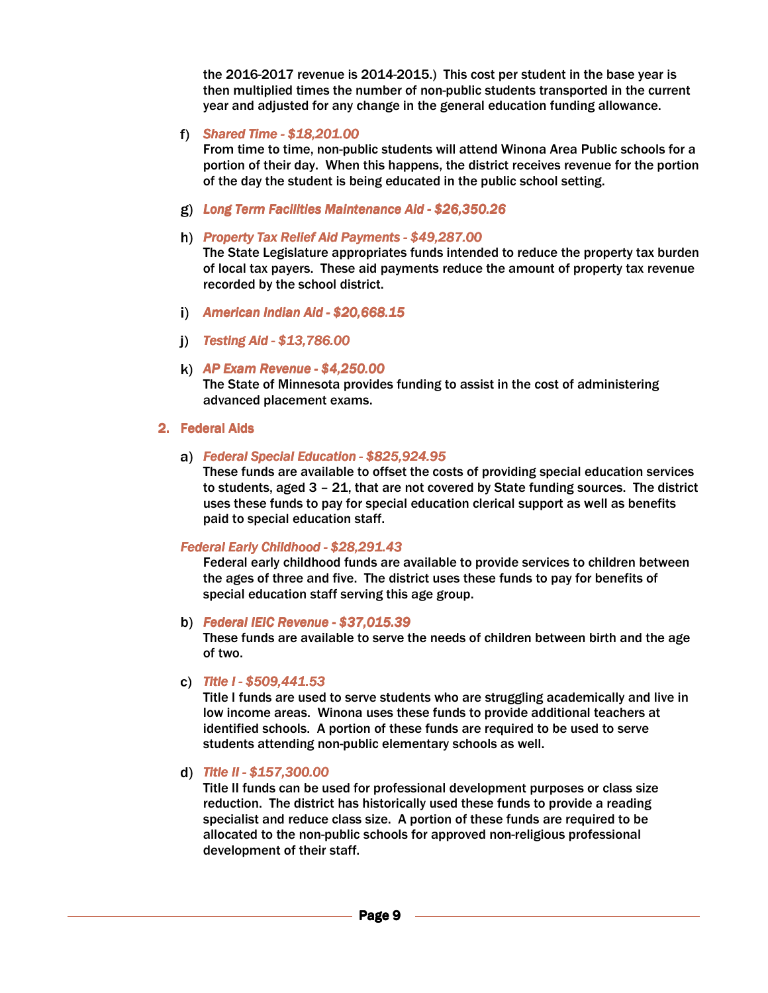the 2016-2017 revenue is 2014-2015.) This cost per student in the base year is then multiplied times the number of non-public students transported in the current year and adjusted for any change in the general education funding allowance.

*Shared Time -\$18,201.00 8,201.008,201.00* 

From time to time, non-public students will attend Winona Area Public schools for a portion of their day. When this happens, the district receives revenue for the portion of the day the student is being educated in the public school setting.

*Long Term Facilities Maintenance Aid - Long Term -\$26,350.26 \$26,350.26 \$26,350.26* 

#### **h)** Property Tax Relief Aid Payments - \$49,287.00

The State Legislature appropriates funds intended to reduce the property tax burden of local tax payers. These aid payments reduce the amount of property tax revenue recorded by the school district.

- *American Indian Aid - Indian Aid -\$20,668.15 \$20,668.15\$20,668.15*
- *Testing Aid - Testing Aid -\$13,786.00 \$13,786.00\$13,786.00*

#### *AP Exam Revenue -\$4,250.00*

The State of Minnesota provides funding to assist in the cost of administering advanced placement exams.

#### 2. Federal Aids

#### *Federal Special Education Education-\$825,924.95 25,924.9525,924.95*

These funds are available to offset the costs of providing special education services to students, aged 3 – 21, that are not covered by State funding sources. The district uses these funds to pay for special education clerical support as well as benefits paid to special education staff.

#### *Federal Early Childhood - \$28,291.43*

Federal early childhood funds are available to provide services to children between the ages of three and five. The district uses these funds to pay for benefits of special education staff serving this age group.

#### *Federal IEIC Revenue IEIC Revenue -\$37,015.39 7,015.39 7,015.39*

These funds are available to serve the needs of children between birth and the age of two.

#### *Title I - I -\$509,441.53 509,441.53509,441.53*

Title I funds are used to serve students who are struggling academically and live in low income areas. Winona uses these funds to provide additional teachers at identified schools. A portion of these funds are required to be used to serve students attending non-public elementary schools as well.

#### *d*) Title II - \$157,300.00

Title II funds can be used for professional development purposes or class size reduction. The district has historically used these funds to provide a reading specialist and reduce class size. A portion of these funds are required to be allocated to the non-public schools for approved non-religious professional development of their staff.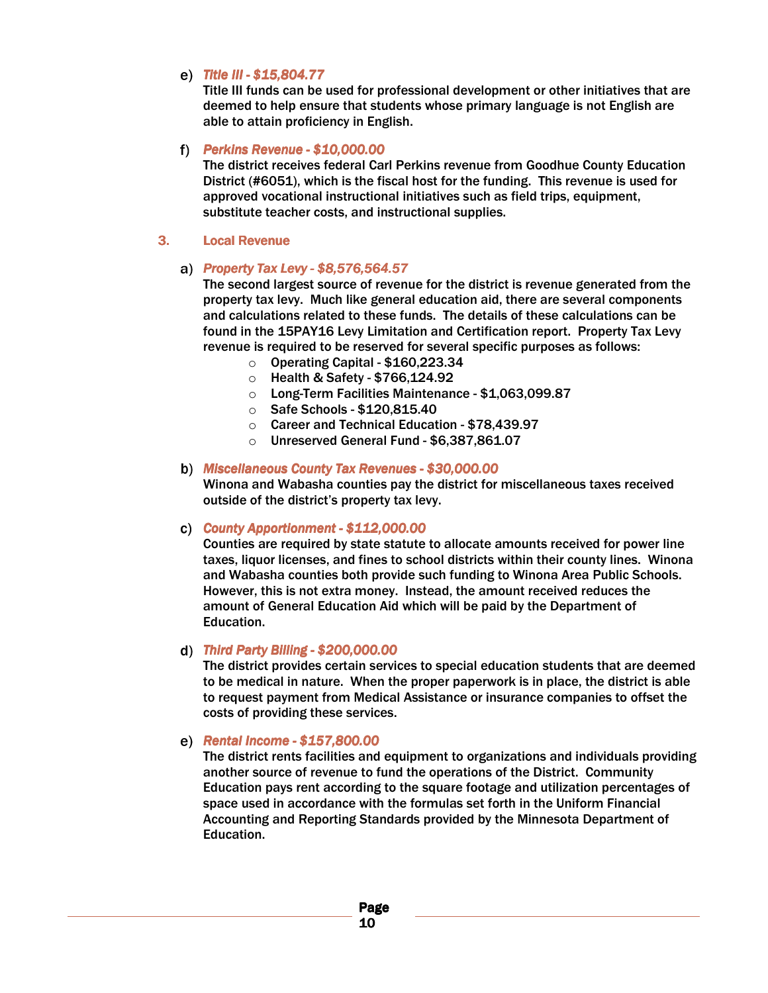#### *Title III - III -\$15,804.77 5,804.775,804.77*

Title III funds can be used for professional development or other initiatives that are deemed to help ensure that students whose primary language is not English are able to attain proficiency in English.

#### f) Perkins Revenue - \$10,000.00

The district receives federal Carl Perkins revenue from Goodhue County Education District (#6051), which is the fiscal host for the funding. This revenue is used for approved vocational instructional initiatives such as field trips, equipment, substitute teacher costs, and instructional supplies.

#### 3. Local Revenue

#### *Property Tax Levy - -\$8,576,564.57 576,564.57 576,564.57*

The second largest source of revenue for the district is revenue generated from the property tax levy. Much like general education aid, there are several components and calculations related to these funds. The details of these calculations can be found in the 15PAY16 Levy Limitation and Certification report. Property Tax Levy revenue is required to be reserved for several specific purposes as follows:

- o Operating Capital \$160,223.34
- o Health & Safety \$766,124.92
- o Long-Term Facilities Maintenance \$1,063,099.87
- o Safe Schools \$120,815.40
- o Career and Technical Education \$78,439.97
- o Unreserved General Fund \$6,387,861.07

#### **b)** Miscellaneous County Tax Revenues - \$30,000.00

Winona and Wabasha counties pay the district for miscellaneous taxes received outside of the district's property tax levy.

#### *County Apportionment - County Apportionment -\$112,000.00 12,000.00 12,000.00*

Counties are required by state statute to allocate amounts received for power line taxes, liquor licenses, and fines to school districts within their county lines. Winona and Wabasha counties both provide such funding to Winona Area Public Schools. However, this is not extra money. Instead, the amount received reduces the amount of General Education Aid which will be paid by the Department of Education.

#### d) Third Party Billing - \$200,000.00

The district provides certain services to special education students that are deemed to be medical in nature. When the proper paperwork is in place, the district is able to request payment from Medical Assistance or insurance companies to offset the costs of providing these services.

#### *Rental Income -\$157,800.00*

The district rents facilities and equipment to organizations and individuals providing another source of revenue to fund the operations of the District. Community Education pays rent according to the square footage and utilization percentages of space used in accordance with the formulas set forth in the Uniform Financial Accounting and Reporting Standards provided by the Minnesota Department of Education.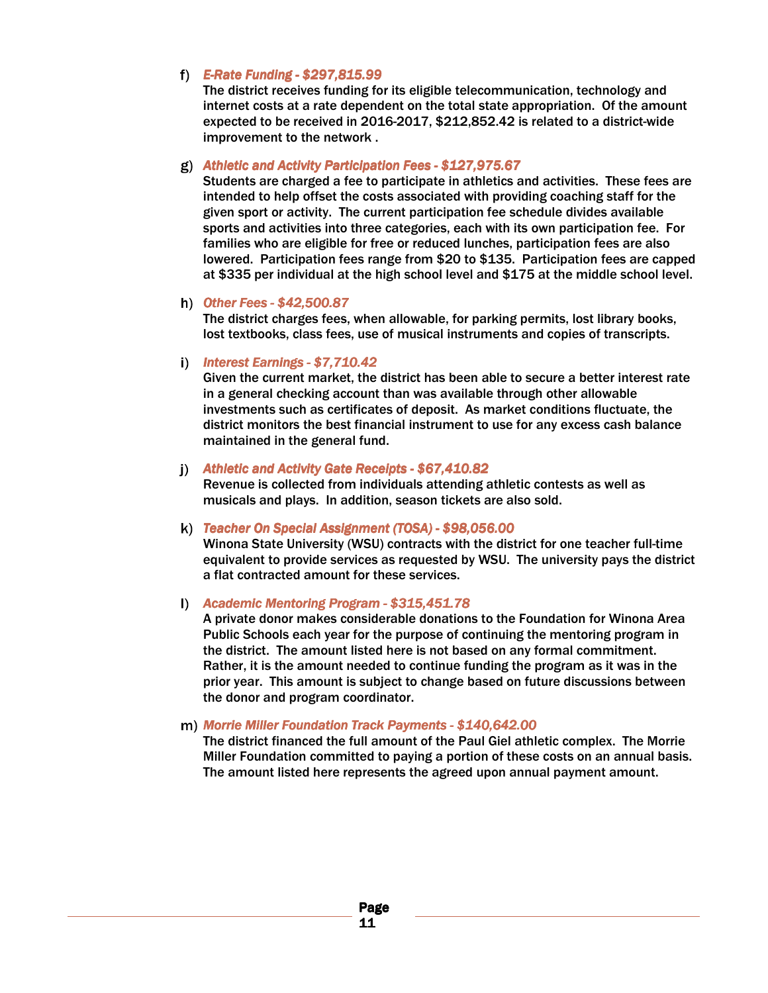#### *E-Rate Funding -\$297,815.99 297,815.99 297,815.99*

The district receives funding for its eligible telecommunication, technology and internet costs at a rate dependent on the total state appropriation. Of the amount expected to be received in 2016-2017, \$212,852.42 is related to a district-wide improvement to the network .

#### *Athletic and Activity Participation Fees - and Activity Fees -\$127,975.67 7,975.67 7,975.67*

Students are charged a fee to participate in athletics and activities. These fees are intended to help offset the costs associated with providing coaching staff for the given sport or activity. The current participation fee schedule divides available sports and activities into three categories, each with its own participation fee. For families who are eligible for free or reduced lunches, participation fees are also lowered. Participation fees range from \$20 to \$135. Participation fees are capped at \$335 per individual at the high school level and \$175 at the middle school level.

#### *h*) Other Fees - \$42,500.87

The district charges fees, when allowable, for parking permits, lost library books, lost textbooks, class fees, use of musical instruments and copies of transcripts.

#### *i*) *Interest Earnings - \$7,710.42*

Given the current market, the district has been able to secure a better interest rate in a general checking account than was available through other allowable investments such as certificates of deposit. As market conditions fluctuate, the district monitors the best financial instrument to use for any excess cash balance maintained in the general fund.

#### *i*) Athletic and Activity Gate Receipts - \$67,410.82

Revenue is collected from individuals attending athletic contests as well as musicals and plays. In addition, season tickets are also sold.

#### k) Teacher On Special Assignment (TOSA) - \$98,056.00

Winona State University (WSU) contracts with the district for one teacher full-time equivalent to provide services as requested by WSU. The university pays the district a flat contracted amount for these services.

#### *Academic Mentoring Program - \$315,451.78*

A private donor makes considerable donations to the Foundation for Winona Area Public Schools each year for the purpose of continuing the mentoring program in the district. The amount listed here is not based on any formal commitment. Rather, it is the amount needed to continue funding the program as it was in the prior year. This amount is subject to change based on future discussions between the donor and program coordinator.

#### *m) Morrie Miller Foundation Track Payments - \$140,642.00*

The district financed the full amount of the Paul Giel athletic complex. The Morrie Miller Foundation committed to paying a portion of these costs on an annual basis. The amount listed here represents the agreed upon annual payment amount.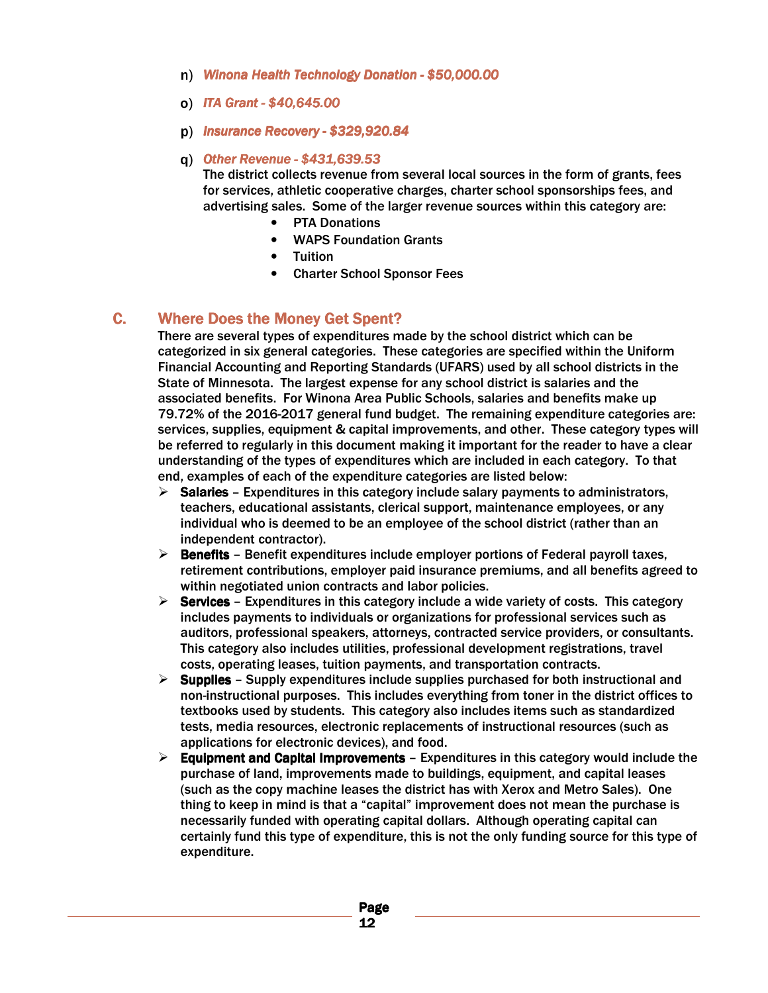- **n)** Winona Health Technology Donation \$50,000.00
- *ITA Grant - ITA Grant -\$40,645.00 \$40,645.00\$40,645.00*
- *Insurance Recovery - Recovery -\$329,920.84 \$329,920.84\$329,920.84*
- *Other Revenue -\$431,639.53 431,639.53 431,639.53*

The district collects revenue from several local sources in the form of grants, fees for services, athletic cooperative charges, charter school sponsorships fees, and advertising sales. Some of the larger revenue sources within this category are:

- **PTA Donations**
- WAPS Foundation Grants
- Tuition
- Charter School Sponsor Fees

### C. Where Does the Money Get Spent?

There are several types of expenditures made by the school district which can be categorized in six general categories. These categories are specified within the Uniform Financial Accounting and Reporting Standards (UFARS) used by all school districts in the State of Minnesota. The largest expense for any school district is salaries and the associated benefits. For Winona Area Public Schools, salaries and benefits make up 79.72% of the 2016-2017 general fund budget. The remaining expenditure categories are: services, supplies, equipment & capital improvements, and other. These category types will be referred to regularly in this document making it important for the reader to have a clear understanding of the types of expenditures which are included in each category. To that end, examples of each of the expenditure categories are listed below:

- $\triangleright$  Salaries Expenditures in this category include salary payments to administrators, teachers, educational assistants, clerical support, maintenance employees, or any individual who is deemed to be an employee of the school district (rather than an independent contractor).
- $\triangleright$  Benefits Benefit expenditures include employer portions of Federal payroll taxes, retirement contributions, employer paid insurance premiums, and all benefits agreed to within negotiated union contracts and labor policies.
- $\triangleright$  Services Expenditures in this category include a wide variety of costs. This category includes payments to individuals or organizations for professional services such as auditors, professional speakers, attorneys, contracted service providers, or consultants. This category also includes utilities, professional development registrations, travel costs, operating leases, tuition payments, and transportation contracts.
- $\triangleright$  Supplies Supply expenditures include supplies purchased for both instructional and non-instructional purposes. This includes everything from toner in the district offices to textbooks used by students. This category also includes items such as standardized tests, media resources, electronic replacements of instructional resources (such as applications for electronic devices), and food.
- $\triangleright$  Equipment and Capital Improvements Expenditures in this category would include the purchase of land, improvements made to buildings, equipment, and capital leases (such as the copy machine leases the district has with Xerox and Metro Sales). One thing to keep in mind is that a "capital" improvement does not mean the purchase is necessarily funded with operating capital dollars. Although operating capital can certainly fund this type of expenditure, this is not the only funding source for this type of expenditure.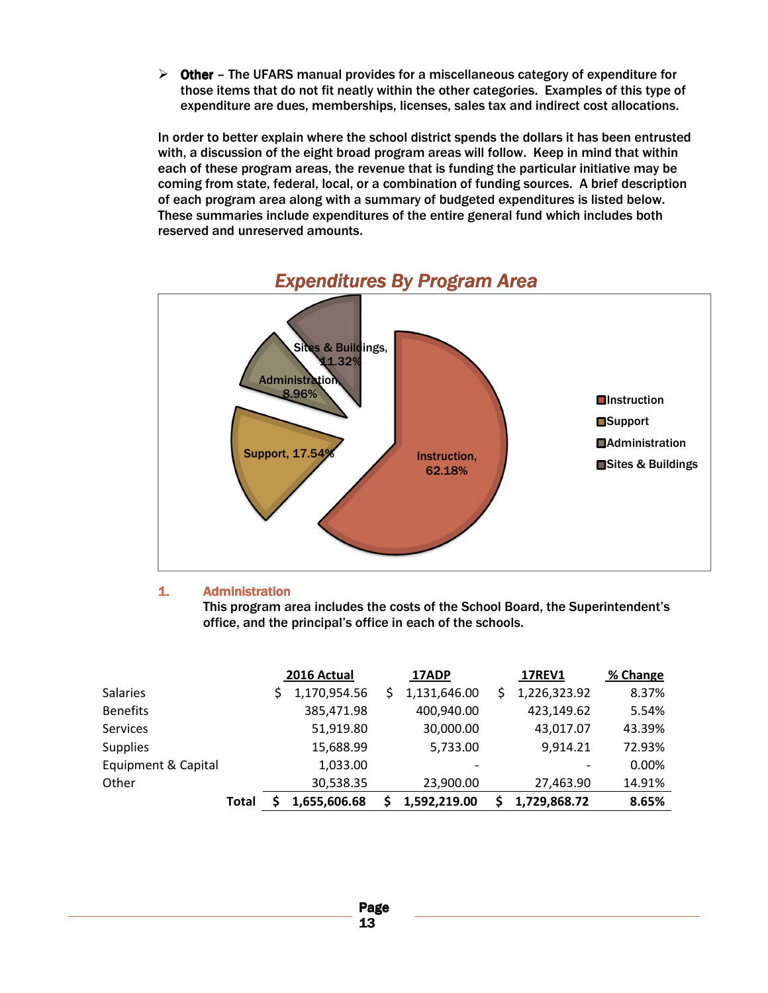$\triangleright$  Other – The UFARS manual provides for a miscellaneous category of expenditure for those items that do not fit neatly within the other categories. Examples of this type of expenditure are dues, memberships, licenses, sales tax and indirect cost allocations.

In order to better explain where the school district spends the dollars it has been entrusted with, a discussion of the eight broad program areas will follow. Keep in mind that within each of these program areas, the revenue that is funding the particular initiative may be coming from state, federal, local, or a combination of funding sources. A brief description of each program area along with a summary of budgeted expenditures is listed below. These summaries include expenditures of the entire general fund which includes both reserved and unreserved amounts.



### *Expenditures By Program Area*

#### 1. **Administration**

This program area includes the costs of the School Board, the Superintendent's office, and the principal's office in each of the schools.

|                     |       | 2016 Actual  | 17ADP        | <b>17REV1</b>      | % Change |
|---------------------|-------|--------------|--------------|--------------------|----------|
| <b>Salaries</b>     |       | 1,170,954.56 | 1,131,646.00 | \$<br>1,226,323.92 | 8.37%    |
| <b>Benefits</b>     |       | 385,471.98   | 400,940.00   | 423,149.62         | 5.54%    |
| <b>Services</b>     |       | 51,919.80    | 30,000.00    | 43,017.07          | 43.39%   |
| <b>Supplies</b>     |       | 15,688.99    | 5,733.00     | 9,914.21           | 72.93%   |
| Equipment & Capital |       | 1,033.00     |              |                    | 0.00%    |
| Other               |       | 30,538.35    | 23,900.00    | 27,463.90          | 14.91%   |
|                     | Total | 1,655,606.68 | 1,592,219.00 | 1,729,868.72       | 8.65%    |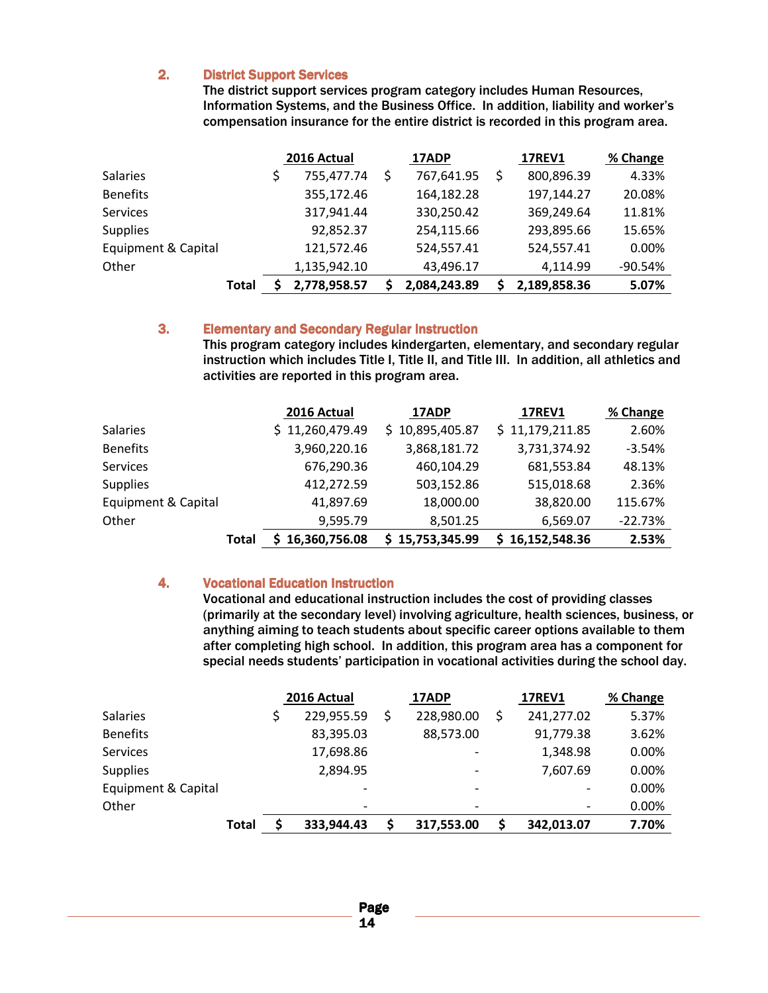#### 2. District Support Services

The district support services program category includes Human Resources, Information Systems, and the Business Office. In addition, liability and worker's compensation insurance for the entire district is recorded in this program area.

|                     |              | 2016 Actual  | 17ADP        | <b>17REV1</b>    | % Change  |
|---------------------|--------------|--------------|--------------|------------------|-----------|
| <b>Salaries</b>     |              | 755,477.74   | 767,641.95   | \$<br>800,896.39 | 4.33%     |
| <b>Benefits</b>     |              | 355,172.46   | 164,182.28   | 197,144.27       | 20.08%    |
| <b>Services</b>     |              | 317,941.44   | 330,250.42   | 369,249.64       | 11.81%    |
| <b>Supplies</b>     |              | 92,852.37    | 254,115.66   | 293,895.66       | 15.65%    |
| Equipment & Capital |              | 121,572.46   | 524,557.41   | 524,557.41       | 0.00%     |
| Other               |              | 1,135,942.10 | 43,496.17    | 4,114.99         | $-90.54%$ |
|                     | <b>Total</b> | 2,778,958.57 | 2,084,243.89 | 2,189,858.36     | 5.07%     |

#### 3. Elementary and Secondary Regular Instruction

This program category includes kindergarten, elementary, and secondary regular instruction which includes Title I, Title II, and Title III. In addition, all athletics and activities are reported in this program area.

|                     |       | 2016 Actual     | 17ADP           | <b>17REV1</b>   | % Change  |
|---------------------|-------|-----------------|-----------------|-----------------|-----------|
| <b>Salaries</b>     |       | \$11,260,479.49 | \$10,895,405.87 | \$11,179,211.85 | 2.60%     |
| <b>Benefits</b>     |       | 3,960,220.16    | 3,868,181.72    | 3,731,374.92    | $-3.54%$  |
| <b>Services</b>     |       | 676,290.36      | 460,104.29      | 681,553.84      | 48.13%    |
| <b>Supplies</b>     |       | 412,272.59      | 503,152.86      | 515,018.68      | 2.36%     |
| Equipment & Capital |       | 41,897.69       | 18,000.00       | 38,820.00       | 115.67%   |
| Other               |       | 9,595.79        | 8,501.25        | 6,569.07        | $-22.73%$ |
|                     | Total | \$16,360,756.08 | \$15,753,345.99 | \$16,152,548.36 | 2.53%     |

#### 4. Vocational Education Instruction

Vocational and educational instruction includes the cost of providing classes (primarily at the secondary level) involving agriculture, health sciences, business, or anything aiming to teach students about specific career options available to them after completing high school. In addition, this program area has a component for special needs students' participation in vocational activities during the school day.

|                     |       | 2016 Actual              | 17ADP                    | <b>17REV1</b>            | % Change |
|---------------------|-------|--------------------------|--------------------------|--------------------------|----------|
| <b>Salaries</b>     |       | 229,955.59               | 228,980.00               | \$<br>241,277.02         | 5.37%    |
| <b>Benefits</b>     |       | 83,395.03                | 88,573.00                | 91,779.38                | 3.62%    |
| Services            |       | 17,698.86                |                          | 1,348.98                 | 0.00%    |
| <b>Supplies</b>     |       | 2,894.95                 |                          | 7,607.69                 | 0.00%    |
| Equipment & Capital |       | -                        | $\overline{\phantom{a}}$ | $\overline{\phantom{a}}$ | 0.00%    |
| Other               |       | $\overline{\phantom{a}}$ |                          | $\overline{\phantom{0}}$ | 0.00%    |
|                     | Total | 333,944.43               | 317,553.00               | 342,013.07               | 7.70%    |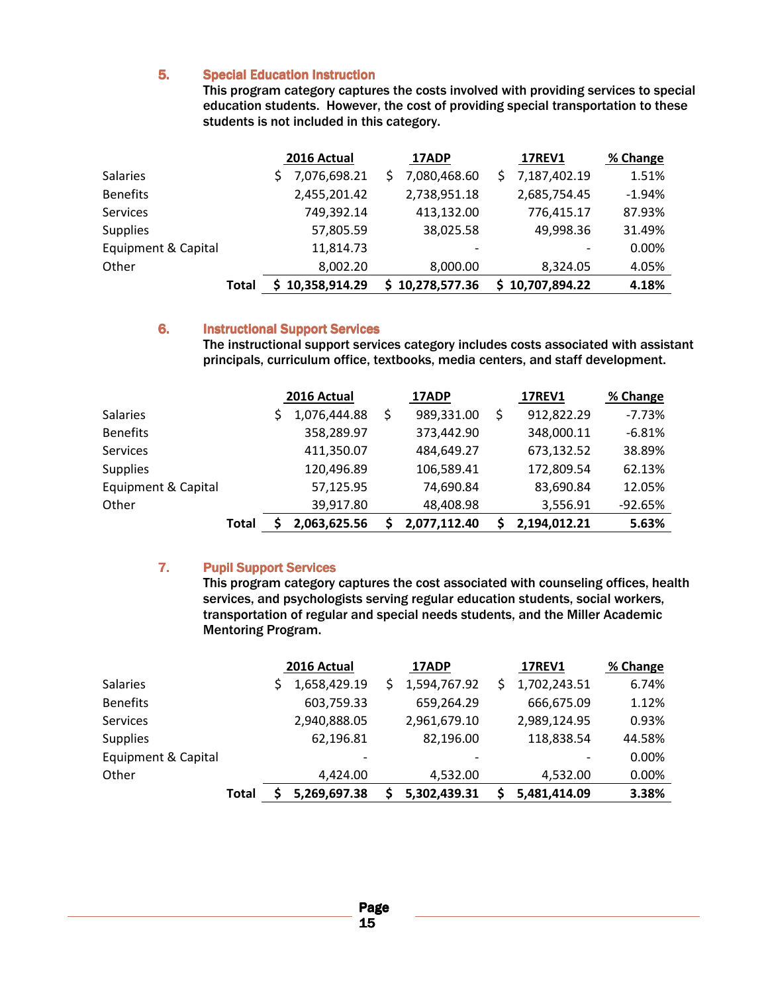#### 5. Special Education Instruction

This program category captures the costs involved with providing services to special education students. However, the cost of providing special transportation to these students is not included in this category.

|                     |       | 2016 Actual     | 17ADP           | <b>17REV1</b>   | % Change |
|---------------------|-------|-----------------|-----------------|-----------------|----------|
| <b>Salaries</b>     |       | 7,076,698.21    | 7,080,468.60    | 7,187,402.19    | 1.51%    |
| <b>Benefits</b>     |       | 2,455,201.42    | 2,738,951.18    | 2,685,754.45    | $-1.94%$ |
| <b>Services</b>     |       | 749,392.14      | 413,132.00      | 776,415.17      | 87.93%   |
| <b>Supplies</b>     |       | 57,805.59       | 38,025.58       | 49,998.36       | 31.49%   |
| Equipment & Capital |       | 11,814.73       |                 |                 | 0.00%    |
| Other               |       | 8,002.20        | 8,000.00        | 8,324.05        | 4.05%    |
|                     | Total | \$10,358,914.29 | \$10,278,577.36 | \$10,707,894.22 | 4.18%    |

#### 6. Instructional Support Services

The instructional support services category includes costs associated with assistant principals, curriculum office, textbooks, media centers, and staff development.

|                     |       | 2016 Actual  | 17ADP        |    | <b>17REV1</b> | % Change  |
|---------------------|-------|--------------|--------------|----|---------------|-----------|
| <b>Salaries</b>     |       | 1,076,444.88 | 989,331.00   | \$ | 912,822.29    | $-7.73%$  |
| <b>Benefits</b>     |       | 358,289.97   | 373,442.90   |    | 348,000.11    | $-6.81%$  |
| <b>Services</b>     |       | 411,350.07   | 484,649.27   |    | 673,132.52    | 38.89%    |
| <b>Supplies</b>     |       | 120,496.89   | 106,589.41   |    | 172,809.54    | 62.13%    |
| Equipment & Capital |       | 57,125.95    | 74,690.84    |    | 83,690.84     | 12.05%    |
| Other               |       | 39,917.80    | 48,408.98    |    | 3,556.91      | $-92.65%$ |
|                     | Total | 2,063,625.56 | 2,077,112.40 | S. | 2,194,012.21  | 5.63%     |

#### 7. Pupil Support Services

This program category captures the cost associated with counseling offices, health services, and psychologists serving regular education students, social workers, transportation of regular and special needs students, and the Miller Academic Mentoring Program.

|                     |       | 2016 Actual              | 17ADP        |   | <b>17REV1</b> | % Change |
|---------------------|-------|--------------------------|--------------|---|---------------|----------|
| <b>Salaries</b>     |       | 1,658,429.19             | 1,594,767.92 | Ś | 1,702,243.51  | 6.74%    |
| <b>Benefits</b>     |       | 603,759.33               | 659,264.29   |   | 666,675.09    | 1.12%    |
| <b>Services</b>     |       | 2,940,888.05             | 2,961,679.10 |   | 2,989,124.95  | 0.93%    |
| <b>Supplies</b>     |       | 62,196.81                | 82,196.00    |   | 118,838.54    | 44.58%   |
| Equipment & Capital |       | $\overline{\phantom{a}}$ |              |   |               | 0.00%    |
| Other               |       | 4,424.00                 | 4,532.00     |   | 4,532.00      | 0.00%    |
|                     | Total | 5,269,697.38             | 5,302,439.31 |   | 5,481,414.09  | 3.38%    |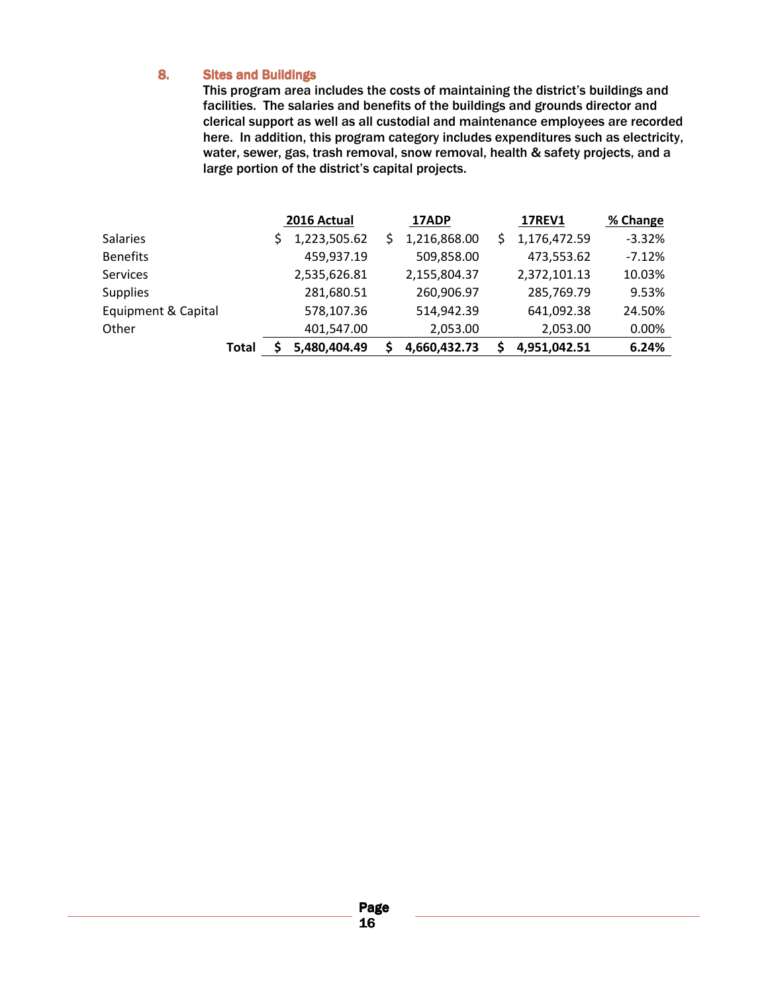#### 8. Sites and Buildings

This program area includes the costs of maintaining the district's buildings and facilities. The salaries and benefits of the buildings and grounds director and clerical support as well as all custodial and maintenance employees are recorded here. In addition, this program category includes expenditures such as electricity, water, sewer, gas, trash removal, snow removal, health & safety projects, and a large portion of the district's capital projects.

|                     |       | 2016 Actual  | 17ADP        | <b>17REV1</b> | % Change |
|---------------------|-------|--------------|--------------|---------------|----------|
| <b>Salaries</b>     |       | 1,223,505.62 | 1,216,868.00 | 1,176,472.59  | $-3.32%$ |
| <b>Benefits</b>     |       | 459,937.19   | 509,858.00   | 473,553.62    | $-7.12%$ |
| <b>Services</b>     |       | 2,535,626.81 | 2,155,804.37 | 2,372,101.13  | 10.03%   |
| <b>Supplies</b>     |       | 281,680.51   | 260,906.97   | 285,769.79    | 9.53%    |
| Equipment & Capital |       | 578,107.36   | 514,942.39   | 641,092.38    | 24.50%   |
| Other               |       | 401,547.00   | 2,053.00     | 2,053.00      | 0.00%    |
|                     | Total | 5,480,404.49 | 4,660,432.73 | 4,951,042.51  | 6.24%    |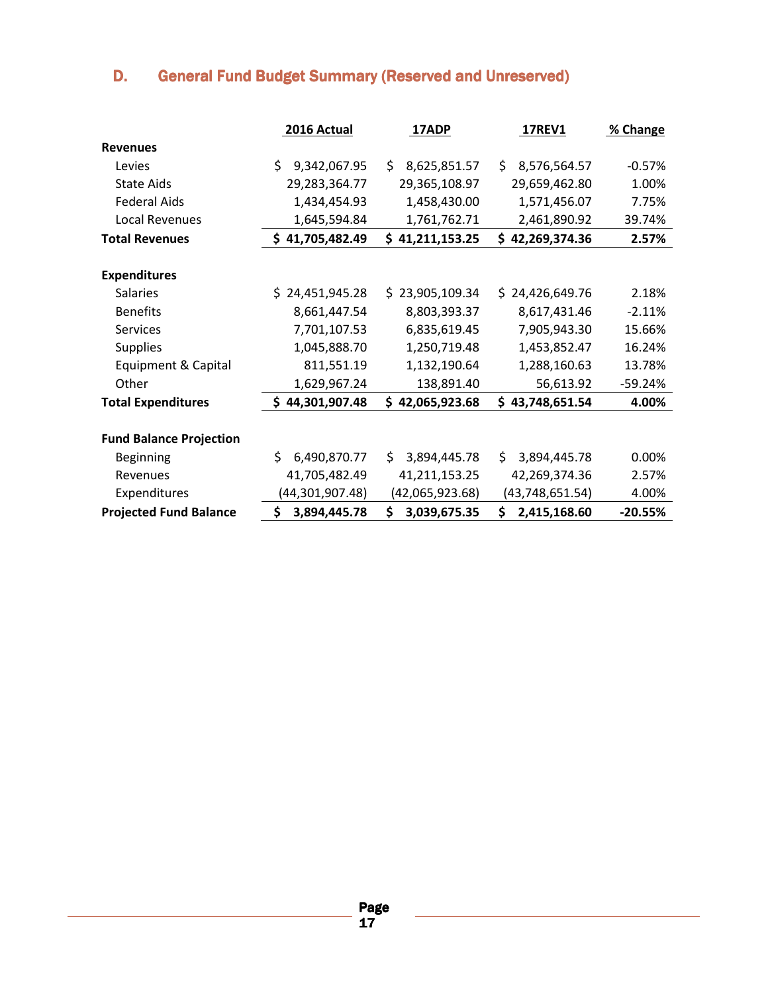# D. General Fund Budget Summary (Reserved and Unreserved)

|                                | 2016 Actual        | 17ADP               | <b>17REV1</b>      | % Change  |
|--------------------------------|--------------------|---------------------|--------------------|-----------|
| <b>Revenues</b>                |                    |                     |                    |           |
| Levies                         | \$<br>9,342,067.95 | 8,625,851.57<br>\$. | \$<br>8,576,564.57 | $-0.57%$  |
| <b>State Aids</b>              | 29,283,364.77      | 29,365,108.97       | 29,659,462.80      | 1.00%     |
| <b>Federal Aids</b>            | 1,434,454.93       | 1,458,430.00        | 1,571,456.07       | 7.75%     |
| <b>Local Revenues</b>          | 1,645,594.84       | 1,761,762.71        | 2,461,890.92       | 39.74%    |
| <b>Total Revenues</b>          | \$41,705,482.49    | \$41,211,153.25     | \$42,269,374.36    | 2.57%     |
|                                |                    |                     |                    |           |
| <b>Expenditures</b>            |                    |                     |                    |           |
| <b>Salaries</b>                | \$24,451,945.28    | \$23,905,109.34     | \$24,426,649.76    | 2.18%     |
| <b>Benefits</b>                | 8,661,447.54       | 8,803,393.37        | 8,617,431.46       | $-2.11%$  |
| Services                       | 7,701,107.53       | 6,835,619.45        | 7,905,943.30       | 15.66%    |
| <b>Supplies</b>                | 1,045,888.70       | 1,250,719.48        | 1,453,852.47       | 16.24%    |
| Equipment & Capital            | 811,551.19         | 1,132,190.64        | 1,288,160.63       | 13.78%    |
| Other                          | 1,629,967.24       | 138,891.40          | 56,613.92          | $-59.24%$ |
| <b>Total Expenditures</b>      | \$44,301,907.48    | \$42,065,923.68     | \$43,748,651.54    | 4.00%     |
|                                |                    |                     |                    |           |
| <b>Fund Balance Projection</b> |                    |                     |                    |           |
| <b>Beginning</b>               | Ś<br>6,490,870.77  | \$.<br>3,894,445.78 | Ś.<br>3,894,445.78 | 0.00%     |
| Revenues                       | 41,705,482.49      | 41,211,153.25       | 42,269,374.36      | 2.57%     |
| Expenditures                   | (44,301,907.48)    | (42,065,923.68)     | (43, 748, 651.54)  | 4.00%     |
| <b>Projected Fund Balance</b>  | \$<br>3,894,445.78 | \$<br>3,039,675.35  | \$<br>2,415,168.60 | $-20.55%$ |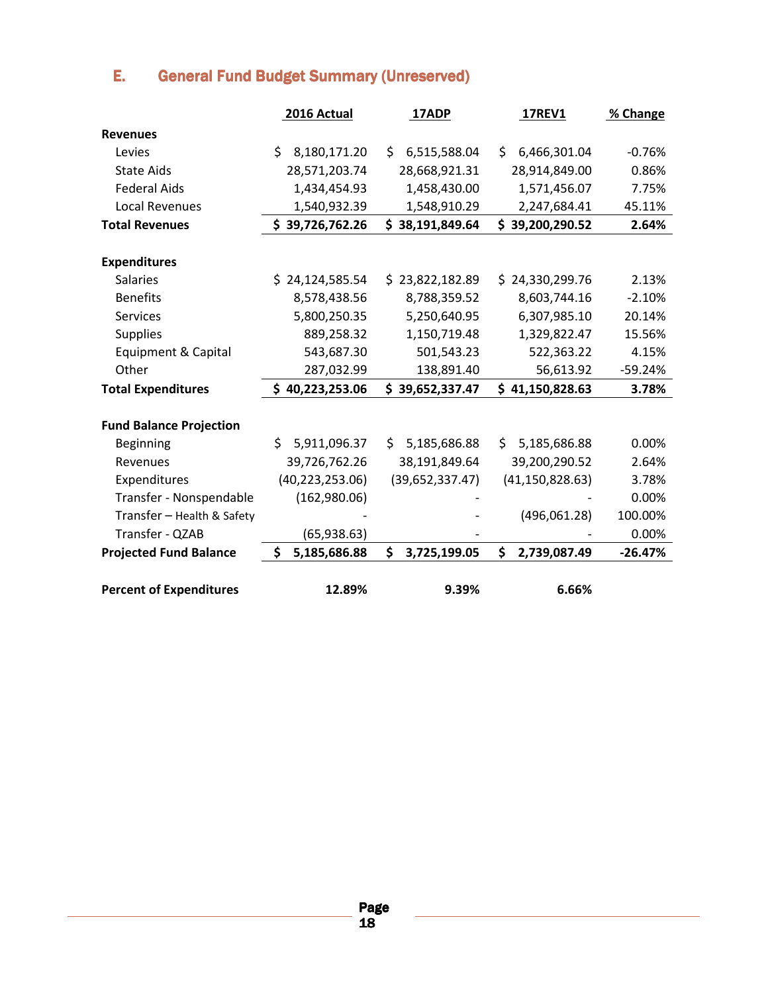# E. General Fund Budget Summary (Unreserved)

|                                | 2016 Actual        | 17ADP               | <b>17REV1</b>      | % Change  |
|--------------------------------|--------------------|---------------------|--------------------|-----------|
| <b>Revenues</b>                |                    |                     |                    |           |
| Levies                         | Ś.<br>8,180,171.20 | \$.<br>6,515,588.04 | \$<br>6,466,301.04 | $-0.76%$  |
| <b>State Aids</b>              | 28,571,203.74      | 28,668,921.31       | 28,914,849.00      | 0.86%     |
| <b>Federal Aids</b>            | 1,434,454.93       | 1,458,430.00        | 1,571,456.07       | 7.75%     |
| <b>Local Revenues</b>          | 1,540,932.39       | 1,548,910.29        | 2,247,684.41       | 45.11%    |
| <b>Total Revenues</b>          | \$39,726,762.26    | \$38,191,849.64     | \$39,200,290.52    | 2.64%     |
|                                |                    |                     |                    |           |
| <b>Expenditures</b>            |                    |                     |                    |           |
| <b>Salaries</b>                | \$24,124,585.54    | \$23,822,182.89     | \$24,330,299.76    | 2.13%     |
| <b>Benefits</b>                | 8,578,438.56       | 8,788,359.52        | 8,603,744.16       | $-2.10%$  |
| <b>Services</b>                | 5,800,250.35       | 5,250,640.95        | 6,307,985.10       | 20.14%    |
| <b>Supplies</b>                | 889,258.32         | 1,150,719.48        | 1,329,822.47       | 15.56%    |
| Equipment & Capital            | 543,687.30         | 501,543.23          | 522,363.22         | 4.15%     |
| Other                          | 287,032.99         | 138,891.40          | 56,613.92          | $-59.24%$ |
| <b>Total Expenditures</b>      | \$40,223,253.06    | \$39,652,337.47     | \$41,150,828.63    | 3.78%     |
|                                |                    |                     |                    |           |
| <b>Fund Balance Projection</b> |                    |                     |                    |           |
| Beginning                      | Ś.<br>5,911,096.37 | 5,185,686.88<br>\$. | 5,185,686.88<br>Ś. | 0.00%     |
| Revenues                       | 39,726,762.26      | 38,191,849.64       | 39,200,290.52      | 2.64%     |
| Expenditures                   | (40, 223, 253.06)  | (39, 652, 337.47)   | (41, 150, 828.63)  | 3.78%     |
| Transfer - Nonspendable        | (162,980.06)       |                     |                    | 0.00%     |
| Transfer - Health & Safety     |                    |                     | (496,061.28)       | 100.00%   |
| Transfer - QZAB                | (65, 938.63)       |                     |                    | 0.00%     |
| <b>Projected Fund Balance</b>  | \$<br>5,185,686.88 | \$<br>3,725,199.05  | \$<br>2,739,087.49 | $-26.47%$ |
| <b>Percent of Expenditures</b> | 12.89%             | 9.39%               | 6.66%              |           |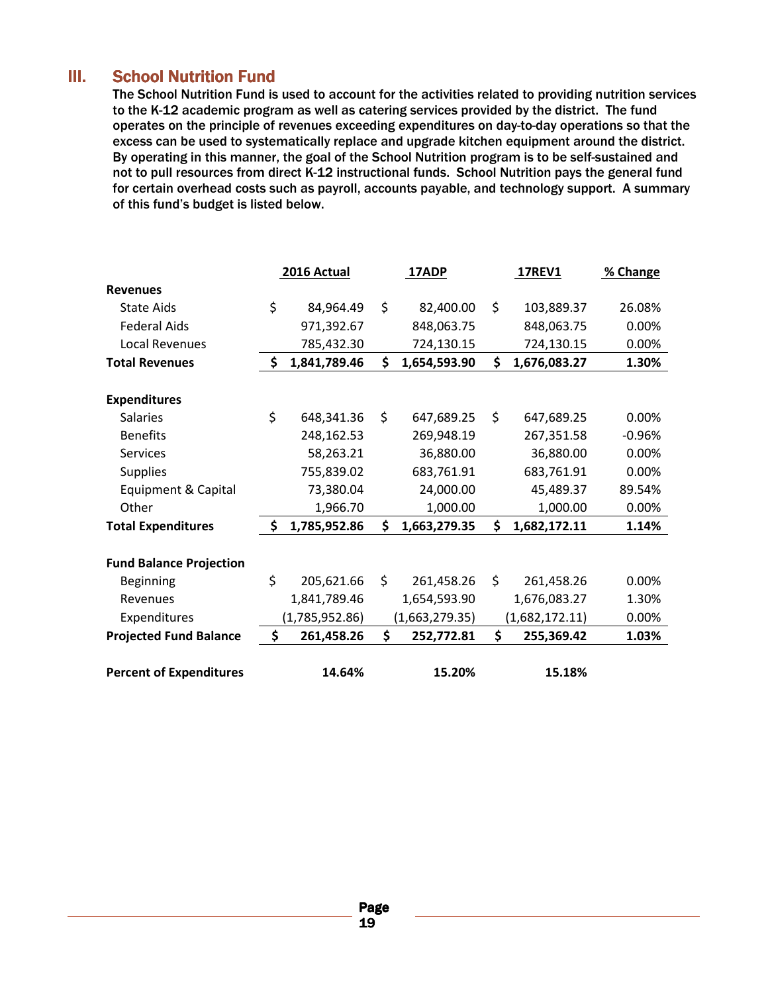### **III.** School Nutrition Fund

The School Nutrition Fund is used to account for the activities related to providing nutrition services to the K-12 academic program as well as catering services provided by the district. The fund operates on the principle of revenues exceeding expenditures on day-to-day operations so that the excess can be used to systematically replace and upgrade kitchen equipment around the district. By operating in this manner, the goal of the School Nutrition program is to be self-sustained and not to pull resources from direct K-12 instructional funds. School Nutrition pays the general fund for certain overhead costs such as payroll, accounts payable, and technology support. A summary of this fund's budget is listed below.

|                                | 2016 Actual        | 17ADP              | <b>17REV1</b>      | % Change |
|--------------------------------|--------------------|--------------------|--------------------|----------|
| <b>Revenues</b>                |                    |                    |                    |          |
| <b>State Aids</b>              | \$<br>84,964.49    | \$<br>82,400.00    | \$<br>103,889.37   | 26.08%   |
| <b>Federal Aids</b>            | 971,392.67         | 848,063.75         | 848,063.75         | 0.00%    |
| <b>Local Revenues</b>          | 785,432.30         | 724,130.15         | 724,130.15         | 0.00%    |
| <b>Total Revenues</b>          | \$<br>1,841,789.46 | \$<br>1,654,593.90 | \$<br>1,676,083.27 | 1.30%    |
|                                |                    |                    |                    |          |
| <b>Expenditures</b>            |                    |                    |                    |          |
| <b>Salaries</b>                | \$<br>648,341.36   | \$<br>647,689.25   | \$<br>647,689.25   | 0.00%    |
| <b>Benefits</b>                | 248,162.53         | 269,948.19         | 267,351.58         | $-0.96%$ |
| <b>Services</b>                | 58,263.21          | 36,880.00          | 36,880.00          | 0.00%    |
| <b>Supplies</b>                | 755,839.02         | 683,761.91         | 683,761.91         | 0.00%    |
| Equipment & Capital            | 73,380.04          | 24,000.00          | 45,489.37          | 89.54%   |
| Other                          | 1,966.70           | 1,000.00           | 1,000.00           | 0.00%    |
| <b>Total Expenditures</b>      | \$<br>1,785,952.86 | \$<br>1,663,279.35 | \$<br>1,682,172.11 | 1.14%    |
| <b>Fund Balance Projection</b> |                    |                    |                    |          |
| <b>Beginning</b>               | \$<br>205,621.66   | \$<br>261,458.26   | \$<br>261,458.26   | 0.00%    |
| Revenues                       | 1,841,789.46       | 1,654,593.90       | 1,676,083.27       | 1.30%    |
| Expenditures                   | (1,785,952.86)     | (1,663,279.35)     | (1,682,172.11)     | 0.00%    |
| <b>Projected Fund Balance</b>  | \$<br>261,458.26   | \$<br>252,772.81   | \$<br>255,369.42   | 1.03%    |
| <b>Percent of Expenditures</b> | 14.64%             | 15.20%             | 15.18%             |          |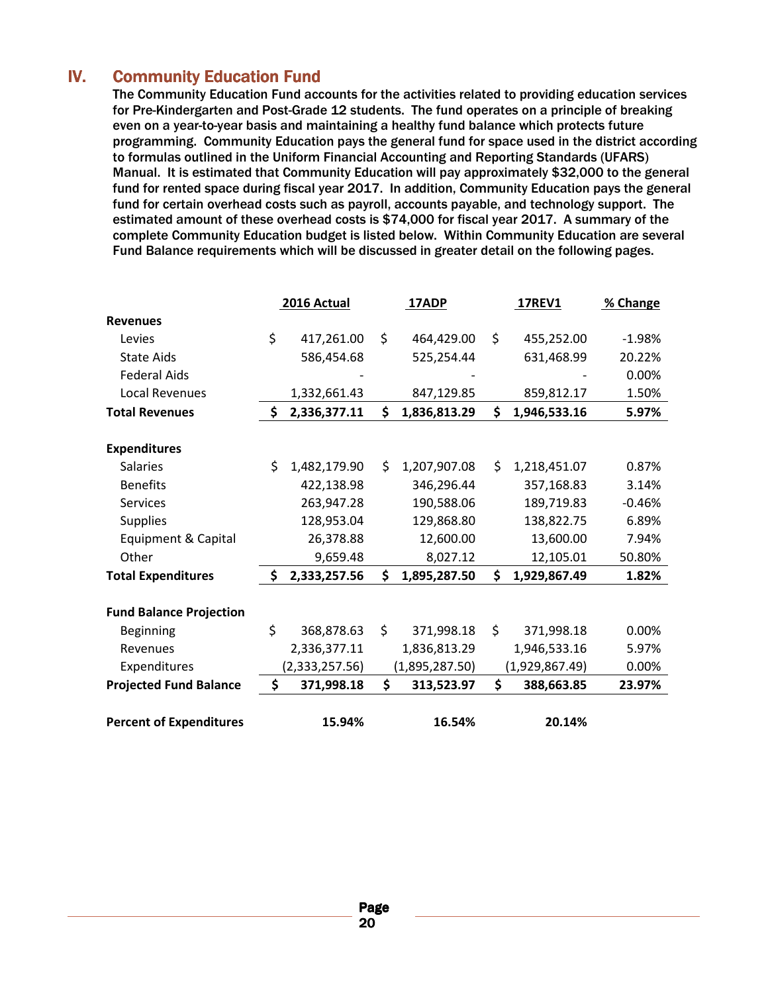### **IV.** Community Education Fund

The Community Education Fund accounts for the activities related to providing education services for Pre-Kindergarten and Post-Grade 12 students. The fund operates on a principle of breaking even on a year-to-year basis and maintaining a healthy fund balance which protects future programming. Community Education pays the general fund for space used in the district according to formulas outlined in the Uniform Financial Accounting and Reporting Standards (UFARS) Manual. It is estimated that Community Education will pay approximately \$32,000 to the general fund for rented space during fiscal year 2017. In addition, Community Education pays the general fund for certain overhead costs such as payroll, accounts payable, and technology support. The estimated amount of these overhead costs is \$74,000 for fiscal year 2017. A summary of the complete Community Education budget is listed below. Within Community Education are several Fund Balance requirements which will be discussed in greater detail on the following pages.

|                                |    | 2016 Actual    |    | <b>17ADP</b>   | <b>17REV1</b>      | % Change |
|--------------------------------|----|----------------|----|----------------|--------------------|----------|
| <b>Revenues</b>                |    |                |    |                |                    |          |
| Levies                         | \$ | 417,261.00     | \$ | 464,429.00     | \$<br>455,252.00   | $-1.98%$ |
| <b>State Aids</b>              |    | 586,454.68     |    | 525,254.44     | 631,468.99         | 20.22%   |
| <b>Federal Aids</b>            |    |                |    |                |                    | 0.00%    |
| Local Revenues                 |    | 1,332,661.43   |    | 847,129.85     | 859,812.17         | 1.50%    |
| <b>Total Revenues</b>          | \$ | 2,336,377.11   | \$ | 1,836,813.29   | \$<br>1,946,533.16 | 5.97%    |
|                                |    |                |    |                |                    |          |
| <b>Expenditures</b>            |    |                |    |                |                    |          |
| <b>Salaries</b>                | Ś. | 1,482,179.90   | Ś. | 1,207,907.08   | \$<br>1,218,451.07 | 0.87%    |
| <b>Benefits</b>                |    | 422,138.98     |    | 346,296.44     | 357,168.83         | 3.14%    |
| <b>Services</b>                |    | 263,947.28     |    | 190,588.06     | 189,719.83         | $-0.46%$ |
| <b>Supplies</b>                |    | 128,953.04     |    | 129,868.80     | 138,822.75         | 6.89%    |
| Equipment & Capital            |    | 26,378.88      |    | 12,600.00      | 13,600.00          | 7.94%    |
| Other                          |    | 9,659.48       |    | 8,027.12       | 12,105.01          | 50.80%   |
| <b>Total Expenditures</b>      | \$ | 2,333,257.56   | \$ | 1,895,287.50   | \$<br>1,929,867.49 | 1.82%    |
| <b>Fund Balance Projection</b> |    |                |    |                |                    |          |
| Beginning                      | \$ | 368,878.63     | \$ | 371,998.18     | \$<br>371,998.18   | 0.00%    |
| Revenues                       |    | 2,336,377.11   |    | 1,836,813.29   | 1,946,533.16       | 5.97%    |
| Expenditures                   |    | (2,333,257.56) |    | (1,895,287.50) | (1,929,867.49)     | 0.00%    |
|                                | \$ | 371,998.18     | \$ |                | \$                 | 23.97%   |
| <b>Projected Fund Balance</b>  |    |                |    | 313,523.97     | 388,663.85         |          |
| <b>Percent of Expenditures</b> |    | 15.94%         |    | 16.54%         | 20.14%             |          |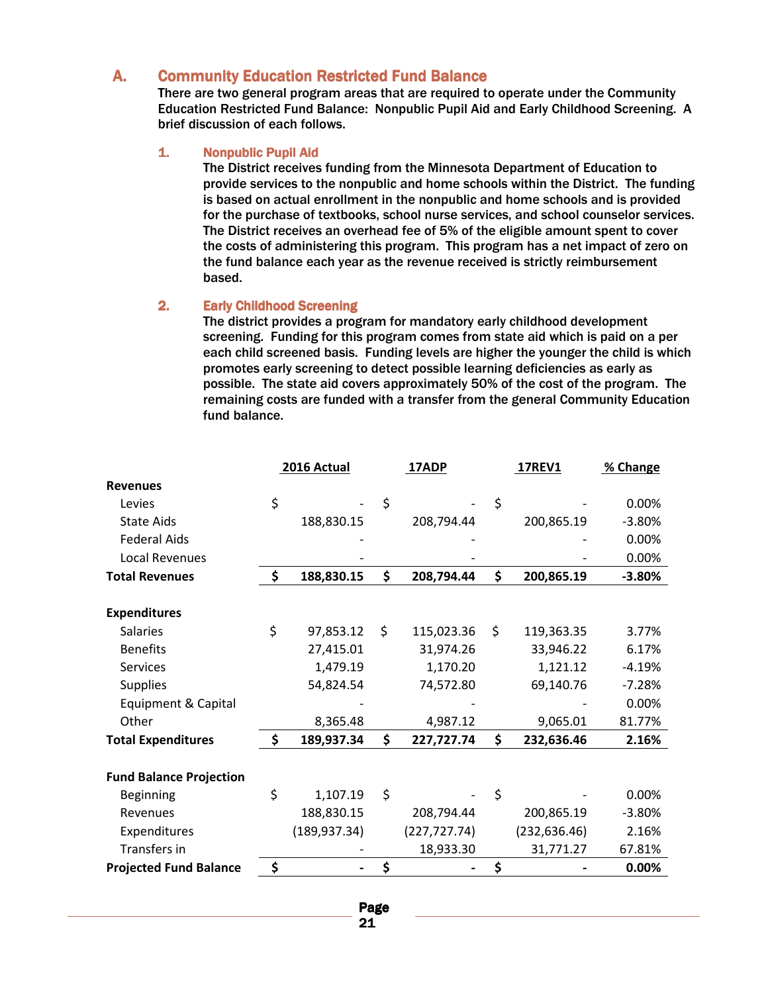#### A. Community Education Restricted Fund Balance

There are two general program areas that are required to operate under the Community Education Restricted Fund Balance: Nonpublic Pupil Aid and Early Childhood Screening. A brief discussion of each follows.

#### 1. Nonpublic Pupil Aid

The District receives funding from the Minnesota Department of Education to provide services to the nonpublic and home schools within the District. The funding is based on actual enrollment in the nonpublic and home schools and is provided for the purchase of textbooks, school nurse services, and school counselor services. The District receives an overhead fee of 5% of the eligible amount spent to cover the costs of administering this program. This program has a net impact of zero on the fund balance each year as the revenue received is strictly reimbursement based.

#### 2. Early Childhood Screening

The district provides a program for mandatory early childhood development screening. Funding for this program comes from state aid which is paid on a per each child screened basis. Funding levels are higher the younger the child is which promotes early screening to detect possible learning deficiencies as early as possible. The state aid covers approximately 50% of the cost of the program. The remaining costs are funded with a transfer from the general Community Education fund balance.

|                                | 2016 Actual      | <b>17ADP</b>     | 17REV1           | % Change |
|--------------------------------|------------------|------------------|------------------|----------|
| <b>Revenues</b>                |                  |                  |                  |          |
| Levies                         | \$               | \$               | \$               | 0.00%    |
| <b>State Aids</b>              | 188,830.15       | 208,794.44       | 200,865.19       | $-3.80%$ |
| <b>Federal Aids</b>            |                  |                  |                  | 0.00%    |
| <b>Local Revenues</b>          |                  |                  |                  | 0.00%    |
| <b>Total Revenues</b>          | \$<br>188,830.15 | \$<br>208,794.44 | \$<br>200,865.19 | $-3.80%$ |
|                                |                  |                  |                  |          |
| <b>Expenditures</b>            |                  |                  |                  |          |
| <b>Salaries</b>                | \$<br>97,853.12  | \$<br>115,023.36 | \$<br>119,363.35 | 3.77%    |
| <b>Benefits</b>                | 27,415.01        | 31,974.26        | 33,946.22        | 6.17%    |
| <b>Services</b>                | 1,479.19         | 1,170.20         | 1,121.12         | $-4.19%$ |
| <b>Supplies</b>                | 54,824.54        | 74,572.80        | 69,140.76        | $-7.28%$ |
| Equipment & Capital            |                  |                  |                  | 0.00%    |
| Other                          | 8,365.48         | 4,987.12         | 9,065.01         | 81.77%   |
| <b>Total Expenditures</b>      | \$<br>189,937.34 | \$<br>227,727.74 | \$<br>232,636.46 | 2.16%    |
|                                |                  |                  |                  |          |
| <b>Fund Balance Projection</b> |                  |                  |                  |          |
| Beginning                      | \$<br>1,107.19   | \$               | \$               | 0.00%    |
| Revenues                       | 188,830.15       | 208,794.44       | 200,865.19       | $-3.80%$ |
| Expenditures                   | (189, 937.34)    | (227, 727.74)    | (232, 636.46)    | 2.16%    |
| Transfers in                   |                  | 18,933.30        | 31,771.27        | 67.81%   |
| <b>Projected Fund Balance</b>  | \$               | \$               | \$               | 0.00%    |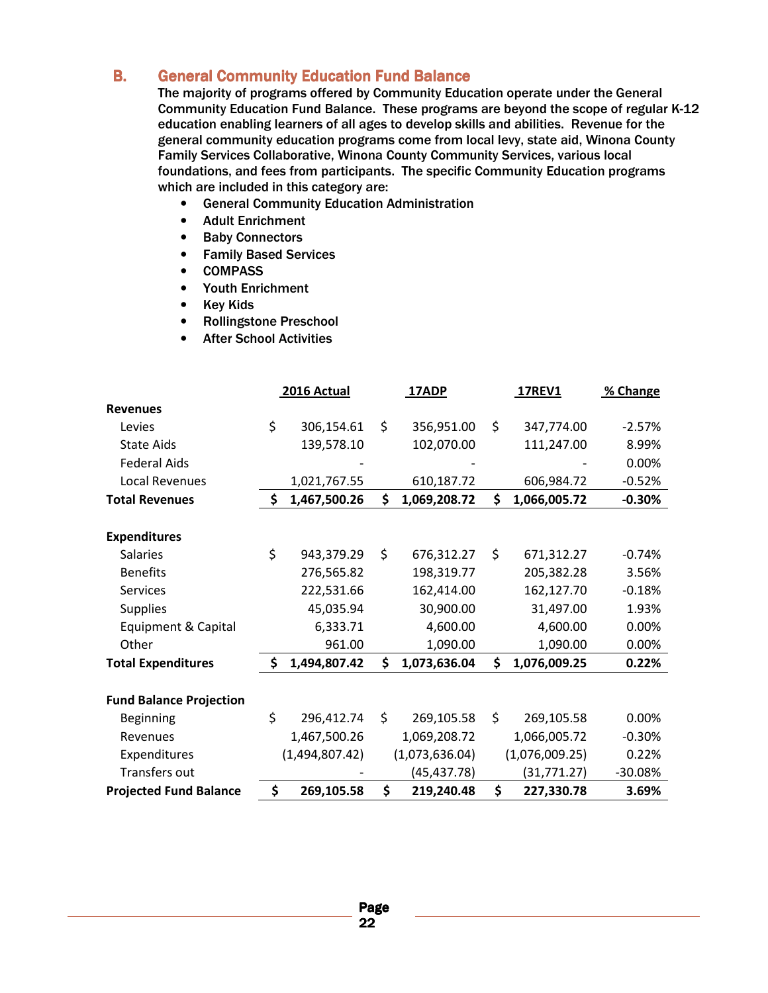### **B.** General Community Education Fund Balance

The majority of programs offered by Community Education operate under the General Community Education Fund Balance. These programs are beyond the scope of regular K-12 education enabling learners of all ages to develop skills and abilities. Revenue for the general community education programs come from local levy, state aid, Winona County Family Services Collaborative, Winona County Community Services, various local foundations, and fees from participants. The specific Community Education programs which are included in this category are:

- General Community Education Administration
- Adult Enrichment
- Baby Connectors
- Family Based Services
- COMPASS
- Youth Enrichment
- Key Kids
- Rollingstone Preschool
- After School Activities

|                                | 2016 Actual        | 17ADP              | <b>17REV1</b>      | % Change  |
|--------------------------------|--------------------|--------------------|--------------------|-----------|
| <b>Revenues</b>                |                    |                    |                    |           |
| Levies                         | \$<br>306,154.61   | \$<br>356,951.00   | \$<br>347,774.00   | $-2.57%$  |
| <b>State Aids</b>              | 139,578.10         | 102,070.00         | 111,247.00         | 8.99%     |
| <b>Federal Aids</b>            |                    |                    |                    | 0.00%     |
| <b>Local Revenues</b>          | 1,021,767.55       | 610,187.72         | 606,984.72         | $-0.52%$  |
| <b>Total Revenues</b>          | \$<br>1,467,500.26 | \$<br>1,069,208.72 | \$<br>1,066,005.72 | $-0.30%$  |
|                                |                    |                    |                    |           |
| <b>Expenditures</b>            |                    |                    |                    |           |
| <b>Salaries</b>                | \$<br>943,379.29   | \$<br>676,312.27   | \$<br>671,312.27   | $-0.74%$  |
| <b>Benefits</b>                | 276,565.82         | 198,319.77         | 205,382.28         | 3.56%     |
| <b>Services</b>                | 222,531.66         | 162,414.00         | 162,127.70         | $-0.18%$  |
| <b>Supplies</b>                | 45,035.94          | 30,900.00          | 31,497.00          | 1.93%     |
| Equipment & Capital            | 6,333.71           | 4,600.00           | 4,600.00           | 0.00%     |
| Other                          | 961.00             | 1,090.00           | 1,090.00           | 0.00%     |
| <b>Total Expenditures</b>      | \$<br>1,494,807.42 | \$<br>1,073,636.04 | \$<br>1,076,009.25 | 0.22%     |
|                                |                    |                    |                    |           |
| <b>Fund Balance Projection</b> |                    |                    |                    |           |
| <b>Beginning</b>               | \$<br>296,412.74   | \$<br>269,105.58   | \$<br>269,105.58   | 0.00%     |
| Revenues                       | 1,467,500.26       | 1,069,208.72       | 1,066,005.72       | $-0.30%$  |
| Expenditures                   | (1,494,807.42)     | (1,073,636.04)     | (1,076,009.25)     | 0.22%     |
| Transfers out                  |                    | (45, 437.78)       | (31,771.27)        | $-30.08%$ |
| <b>Projected Fund Balance</b>  | \$<br>269,105.58   | \$<br>219,240.48   | \$<br>227,330.78   | 3.69%     |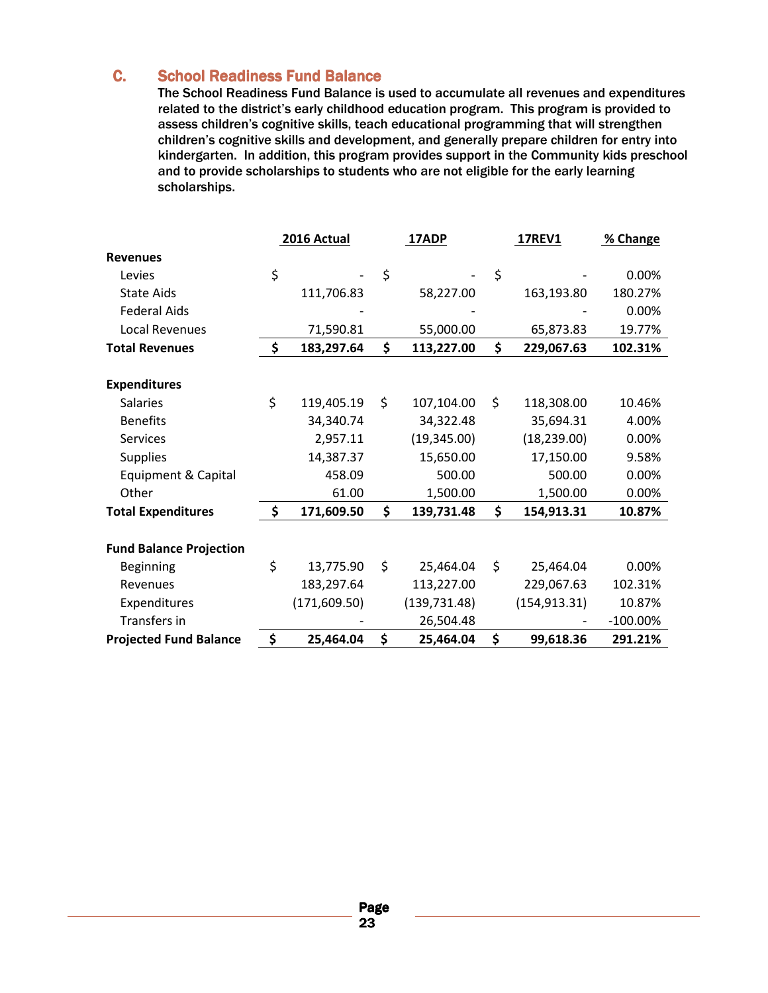### **C.** School Readiness Fund Balance

The School Readiness Fund Balance is used to accumulate all revenues and expenditures related to the district's early childhood education program. This program is provided to assess children's cognitive skills, teach educational programming that will strengthen children's cognitive skills and development, and generally prepare children for entry into kindergarten. In addition, this program provides support in the Community kids preschool and to provide scholarships to students who are not eligible for the early learning scholarships.

|                                | 2016 Actual      | 17ADP            | <b>17REV1</b>    | % Change    |
|--------------------------------|------------------|------------------|------------------|-------------|
| <b>Revenues</b>                |                  |                  |                  |             |
| Levies                         | \$               | \$               | \$               | 0.00%       |
| <b>State Aids</b>              | 111,706.83       | 58,227.00        | 163,193.80       | 180.27%     |
| <b>Federal Aids</b>            |                  |                  |                  | 0.00%       |
| <b>Local Revenues</b>          | 71,590.81        | 55,000.00        | 65,873.83        | 19.77%      |
| <b>Total Revenues</b>          | \$<br>183,297.64 | \$<br>113,227.00 | \$<br>229,067.63 | 102.31%     |
|                                |                  |                  |                  |             |
| <b>Expenditures</b>            |                  |                  |                  |             |
| <b>Salaries</b>                | \$<br>119,405.19 | \$<br>107,104.00 | \$<br>118,308.00 | 10.46%      |
| <b>Benefits</b>                | 34,340.74        | 34,322.48        | 35,694.31        | 4.00%       |
| <b>Services</b>                | 2,957.11         | (19, 345.00)     | (18, 239.00)     | 0.00%       |
| <b>Supplies</b>                | 14,387.37        | 15,650.00        | 17,150.00        | 9.58%       |
| Equipment & Capital            | 458.09           | 500.00           | 500.00           | 0.00%       |
| Other                          | 61.00            | 1,500.00         | 1,500.00         | 0.00%       |
| <b>Total Expenditures</b>      | \$<br>171,609.50 | \$<br>139,731.48 | \$<br>154,913.31 | 10.87%      |
|                                |                  |                  |                  |             |
| <b>Fund Balance Projection</b> |                  |                  |                  |             |
| <b>Beginning</b>               | \$<br>13,775.90  | \$<br>25,464.04  | \$<br>25,464.04  | 0.00%       |
| Revenues                       | 183,297.64       | 113,227.00       | 229,067.63       | 102.31%     |
| Expenditures                   | (171, 609.50)    | (139, 731.48)    | (154, 913.31)    | 10.87%      |
| Transfers in                   |                  | 26,504.48        |                  | $-100.00\%$ |
| <b>Projected Fund Balance</b>  | \$<br>25,464.04  | \$<br>25,464.04  | \$<br>99,618.36  | 291.21%     |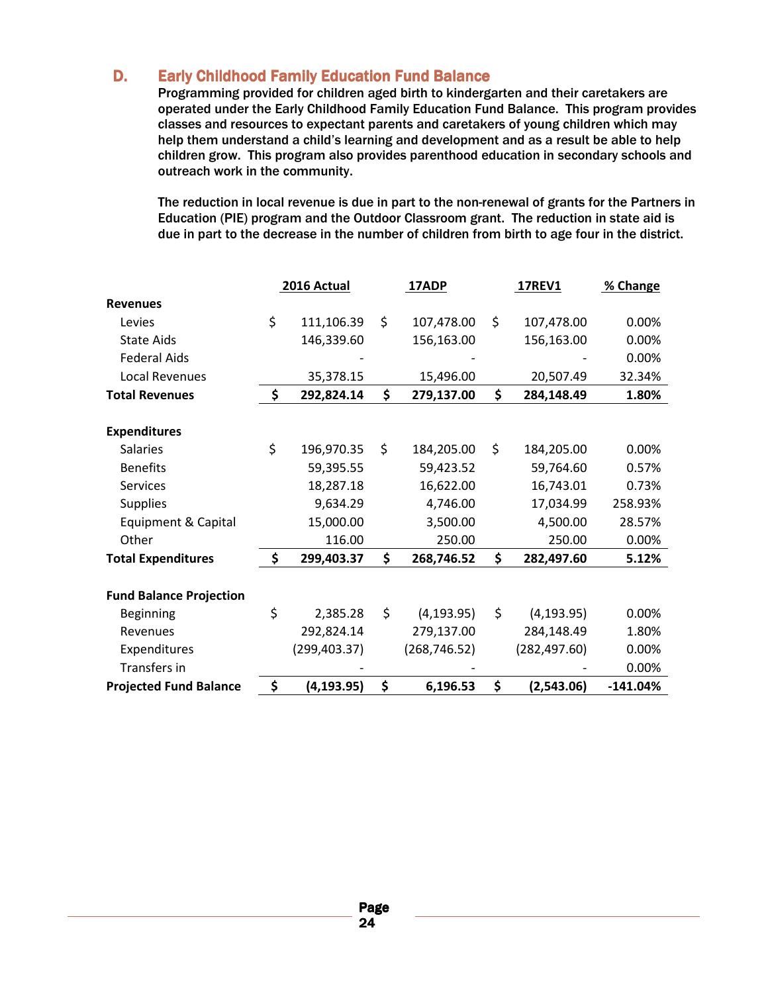### D. Early Childhood Family Education Fund Balance

Programming provided for children aged birth to kindergarten and their caretakers are operated under the Early Childhood Family Education Fund Balance. This program provides classes and resources to expectant parents and caretakers of young children which may help them understand a child's learning and development and as a result be able to help children grow. This program also provides parenthood education in secondary schools and outreach work in the community.

The reduction in local revenue is due in part to the non-renewal of grants for the Partners in Education (PIE) program and the Outdoor Classroom grant. The reduction in state aid is due in part to the decrease in the number of children from birth to age four in the district.

|                                | 2016 Actual       | 17ADP             | <b>17REV1</b>     | % Change   |
|--------------------------------|-------------------|-------------------|-------------------|------------|
| <b>Revenues</b>                |                   |                   |                   |            |
| Levies                         | \$<br>111,106.39  | \$<br>107,478.00  | \$<br>107,478.00  | 0.00%      |
| <b>State Aids</b>              | 146,339.60        | 156,163.00        | 156,163.00        | 0.00%      |
| <b>Federal Aids</b>            |                   |                   |                   | 0.00%      |
| Local Revenues                 | 35,378.15         | 15,496.00         | 20,507.49         | 32.34%     |
| <b>Total Revenues</b>          | \$<br>292,824.14  | \$<br>279,137.00  | \$<br>284,148.49  | 1.80%      |
|                                |                   |                   |                   |            |
| <b>Expenditures</b>            |                   |                   |                   |            |
| <b>Salaries</b>                | \$<br>196,970.35  | \$<br>184,205.00  | \$<br>184,205.00  | 0.00%      |
| <b>Benefits</b>                | 59,395.55         | 59,423.52         | 59,764.60         | 0.57%      |
| <b>Services</b>                | 18,287.18         | 16,622.00         | 16,743.01         | 0.73%      |
| <b>Supplies</b>                | 9,634.29          | 4,746.00          | 17,034.99         | 258.93%    |
| Equipment & Capital            | 15,000.00         | 3,500.00          | 4,500.00          | 28.57%     |
| Other                          | 116.00            | 250.00            | 250.00            | 0.00%      |
| <b>Total Expenditures</b>      | \$<br>299,403.37  | \$<br>268,746.52  | \$<br>282,497.60  | 5.12%      |
|                                |                   |                   |                   |            |
| <b>Fund Balance Projection</b> |                   |                   |                   |            |
| <b>Beginning</b>               | \$<br>2,385.28    | \$<br>(4, 193.95) | \$<br>(4, 193.95) | 0.00%      |
| Revenues                       | 292,824.14        | 279,137.00        | 284,148.49        | 1.80%      |
| Expenditures                   | (299, 403.37)     | (268, 746.52)     | (282, 497.60)     | 0.00%      |
| Transfers in                   |                   |                   |                   | 0.00%      |
| <b>Projected Fund Balance</b>  | \$<br>(4, 193.95) | \$<br>6,196.53    | \$<br>(2,543.06)  | $-141.04%$ |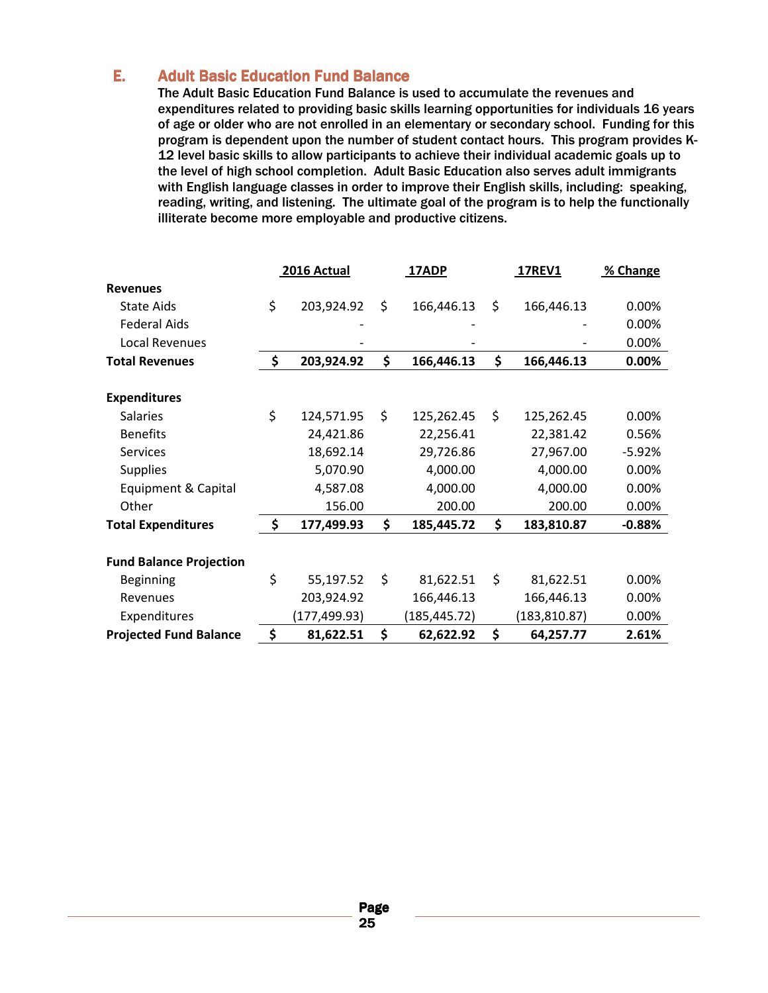### **E.** Adult Basic Education Fund Balance

The Adult Basic Education Fund Balance is used to accumulate the revenues and expenditures related to providing basic skills learning opportunities for individuals 16 years of age or older who are not enrolled in an elementary or secondary school. Funding for this program is dependent upon the number of student contact hours. This program provides K-12 level basic skills to allow participants to achieve their individual academic goals up to the level of high school completion. Adult Basic Education also serves adult immigrants with English language classes in order to improve their English skills, including: speaking, reading, writing, and listening. The ultimate goal of the program is to help the functionally illiterate become more employable and productive citizens.

|                                | 2016 Actual      | 17ADP            | <b>17REV1</b>    | % Change |
|--------------------------------|------------------|------------------|------------------|----------|
| <b>Revenues</b>                |                  |                  |                  |          |
| <b>State Aids</b>              | \$<br>203,924.92 | \$<br>166,446.13 | \$<br>166,446.13 | 0.00%    |
| <b>Federal Aids</b>            |                  |                  |                  | 0.00%    |
| Local Revenues                 |                  |                  |                  | 0.00%    |
| <b>Total Revenues</b>          | \$<br>203,924.92 | \$<br>166,446.13 | \$<br>166,446.13 | 0.00%    |
| <b>Expenditures</b>            |                  |                  |                  |          |
| <b>Salaries</b>                | \$<br>124,571.95 | \$<br>125,262.45 | \$<br>125,262.45 | 0.00%    |
| <b>Benefits</b>                | 24,421.86        | 22,256.41        | 22,381.42        | 0.56%    |
| <b>Services</b>                | 18,692.14        | 29,726.86        | 27,967.00        | $-5.92%$ |
| <b>Supplies</b>                | 5,070.90         | 4,000.00         | 4,000.00         | 0.00%    |
| Equipment & Capital            | 4,587.08         | 4,000.00         | 4,000.00         | 0.00%    |
| Other                          | 156.00           | 200.00           | 200.00           | 0.00%    |
| <b>Total Expenditures</b>      | \$<br>177,499.93 | \$<br>185,445.72 | \$<br>183,810.87 | $-0.88%$ |
| <b>Fund Balance Projection</b> |                  |                  |                  |          |
| Beginning                      | \$<br>55,197.52  | \$<br>81,622.51  | \$<br>81,622.51  | 0.00%    |
| Revenues                       | 203,924.92       | 166,446.13       | 166,446.13       | 0.00%    |
| Expenditures                   | (177,499.93)     | (185, 445.72)    | (183, 810.87)    | 0.00%    |
| <b>Projected Fund Balance</b>  | \$<br>81,622.51  | \$<br>62,622.92  | \$<br>64,257.77  | 2.61%    |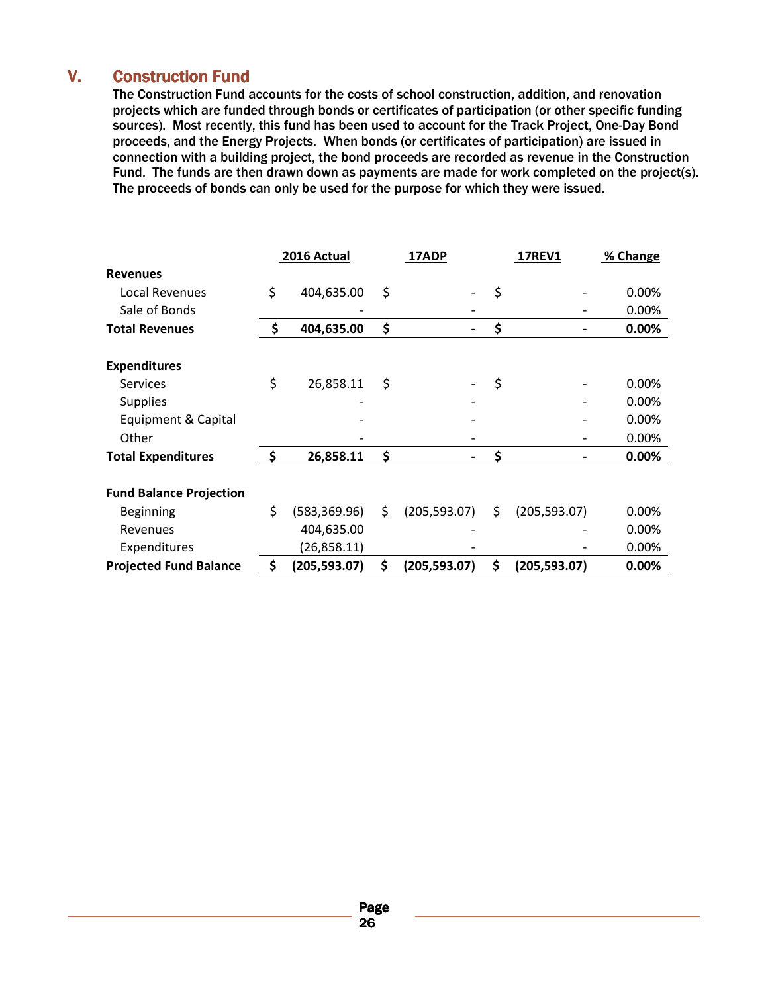### V. Construction Fund

The Construction Fund accounts for the costs of school construction, addition, and renovation projects which are funded through bonds or certificates of participation (or other specific funding sources). Most recently, this fund has been used to account for the Track Project, One-Day Bond proceeds, and the Energy Projects. When bonds (or certificates of participation) are issued in connection with a building project, the bond proceeds are recorded as revenue in the Construction Fund. The funds are then drawn down as payments are made for work completed on the project(s). The proceeds of bonds can only be used for the purpose for which they were issued.

|                                | 2016 Actual         | 17ADP               | <b>17REV1</b>       | % Change |
|--------------------------------|---------------------|---------------------|---------------------|----------|
| <b>Revenues</b>                |                     |                     |                     |          |
| Local Revenues                 | \$<br>404,635.00    | \$                  | \$                  | 0.00%    |
| Sale of Bonds                  |                     |                     |                     | 0.00%    |
| <b>Total Revenues</b>          | \$<br>404,635.00    | \$                  | \$                  | 0.00%    |
| <b>Expenditures</b>            |                     |                     |                     |          |
| <b>Services</b>                | \$<br>26,858.11     | \$                  | \$                  | 0.00%    |
| <b>Supplies</b>                |                     |                     |                     | 0.00%    |
| Equipment & Capital            |                     |                     |                     | 0.00%    |
| Other                          |                     |                     |                     | 0.00%    |
| <b>Total Expenditures</b>      | \$<br>26,858.11     | \$                  | \$                  | 0.00%    |
| <b>Fund Balance Projection</b> |                     |                     |                     |          |
| Beginning                      | \$<br>(583, 369.96) | \$<br>(205, 593.07) | \$<br>(205, 593.07) | 0.00%    |
| Revenues                       | 404,635.00          |                     |                     | 0.00%    |
| Expenditures                   | (26,858.11)         |                     |                     | 0.00%    |
| <b>Projected Fund Balance</b>  | \$<br>(205, 593.07) | \$<br>(205, 593.07) | \$<br>(205,593.07)  | 0.00%    |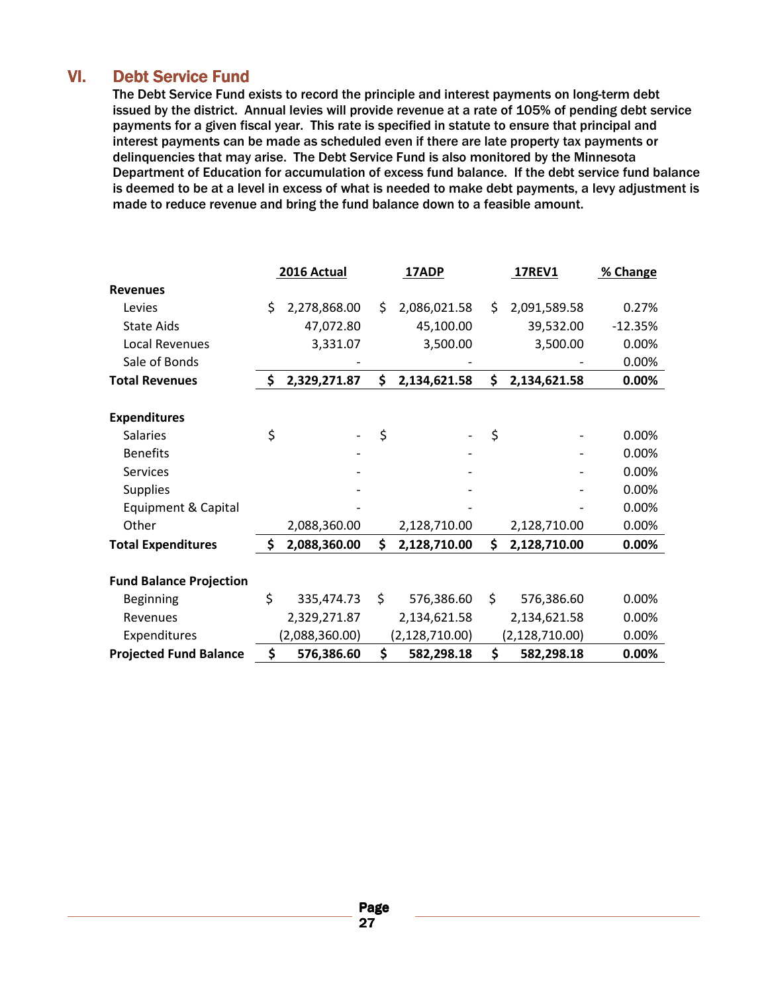### VI. Debt Service Fund

The Debt Service Fund exists to record the principle and interest payments on long-term debt issued by the district. Annual levies will provide revenue at a rate of 105% of pending debt service payments for a given fiscal year. This rate is specified in statute to ensure that principal and interest payments can be made as scheduled even if there are late property tax payments or delinquencies that may arise. The Debt Service Fund is also monitored by the Minnesota Department of Education for accumulation of excess fund balance. If the debt service fund balance is deemed to be at a level in excess of what is needed to make debt payments, a levy adjustment is made to reduce revenue and bring the fund balance down to a feasible amount.

|                                |     | 2016 Actual    |     | 17ADP            | <b>17REV1</b>      | % Change  |
|--------------------------------|-----|----------------|-----|------------------|--------------------|-----------|
| <b>Revenues</b>                |     |                |     |                  |                    |           |
| Levies                         | \$  | 2,278,868.00   | \$. | 2,086,021.58     | \$<br>2,091,589.58 | 0.27%     |
| <b>State Aids</b>              |     | 47,072.80      |     | 45,100.00        | 39,532.00          | $-12.35%$ |
| Local Revenues                 |     | 3,331.07       |     | 3,500.00         | 3,500.00           | 0.00%     |
| Sale of Bonds                  |     |                |     |                  |                    | 0.00%     |
| <b>Total Revenues</b>          | \$  | 2,329,271.87   | \$  | 2,134,621.58     | \$<br>2,134,621.58 | 0.00%     |
|                                |     |                |     |                  |                    |           |
| <b>Expenditures</b>            |     |                |     |                  |                    |           |
| <b>Salaries</b>                | \$  |                | \$  |                  | \$                 | 0.00%     |
| <b>Benefits</b>                |     |                |     |                  |                    | 0.00%     |
| <b>Services</b>                |     |                |     |                  |                    | 0.00%     |
| <b>Supplies</b>                |     |                |     |                  |                    | 0.00%     |
| Equipment & Capital            |     |                |     |                  |                    | 0.00%     |
| Other                          |     | 2,088,360.00   |     | 2,128,710.00     | 2,128,710.00       | 0.00%     |
| <b>Total Expenditures</b>      | \$. | 2,088,360.00   | Ś.  | 2,128,710.00     | \$<br>2,128,710.00 | $0.00\%$  |
|                                |     |                |     |                  |                    |           |
| <b>Fund Balance Projection</b> |     |                |     |                  |                    |           |
| <b>Beginning</b>               | \$  | 335,474.73     | \$  | 576,386.60       | \$<br>576,386.60   | 0.00%     |
| Revenues                       |     | 2,329,271.87   |     | 2,134,621.58     | 2,134,621.58       | 0.00%     |
| Expenditures                   |     | (2,088,360.00) |     | (2, 128, 710.00) | (2, 128, 710.00)   | 0.00%     |
| <b>Projected Fund Balance</b>  | \$  | 576,386.60     | \$  | 582,298.18       | \$<br>582,298.18   | 0.00%     |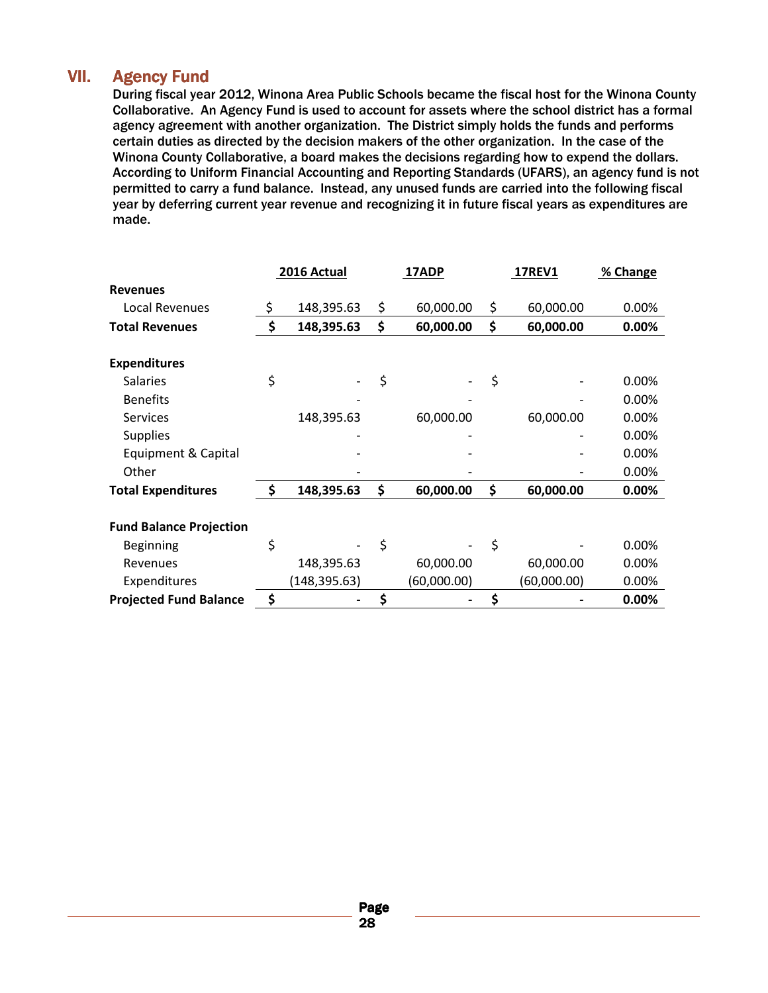### VII. Agency Fund

During fiscal year 2012, Winona Area Public Schools became the fiscal host for the Winona County Collaborative. An Agency Fund is used to account for assets where the school district has a formal agency agreement with another organization. The District simply holds the funds and performs certain duties as directed by the decision makers of the other organization. In the case of the Winona County Collaborative, a board makes the decisions regarding how to expend the dollars. According to Uniform Financial Accounting and Reporting Standards (UFARS), an agency fund is not permitted to carry a fund balance. Instead, any unused funds are carried into the following fiscal year by deferring current year revenue and recognizing it in future fiscal years as expenditures are made.

|                                | 2016 Actual      | 17ADP           | <b>17REV1</b>   | % Change |
|--------------------------------|------------------|-----------------|-----------------|----------|
| <b>Revenues</b>                |                  |                 |                 |          |
| Local Revenues                 | \$<br>148,395.63 | \$<br>60,000.00 | \$<br>60,000.00 | 0.00%    |
| <b>Total Revenues</b>          | \$<br>148,395.63 | \$<br>60,000.00 | \$<br>60,000.00 | 0.00%    |
|                                |                  |                 |                 |          |
| <b>Expenditures</b>            |                  |                 |                 |          |
| <b>Salaries</b>                | \$               | \$              | \$              | $0.00\%$ |
| <b>Benefits</b>                |                  |                 |                 | 0.00%    |
| <b>Services</b>                | 148,395.63       | 60,000.00       | 60,000.00       | 0.00%    |
| <b>Supplies</b>                |                  |                 |                 | 0.00%    |
| Equipment & Capital            |                  |                 |                 | 0.00%    |
| Other                          |                  |                 |                 | 0.00%    |
| <b>Total Expenditures</b>      | \$<br>148,395.63 | \$<br>60,000.00 | \$<br>60,000.00 | 0.00%    |
|                                |                  |                 |                 |          |
| <b>Fund Balance Projection</b> |                  |                 |                 |          |
| Beginning                      | \$               | \$              | \$              | 0.00%    |
| Revenues                       | 148,395.63       | 60,000.00       | 60,000.00       | 0.00%    |
| Expenditures                   | (148,395.63)     | (60,000.00)     | (60,000.00)     | 0.00%    |
| <b>Projected Fund Balance</b>  | \$               |                 | \$              | 0.00%    |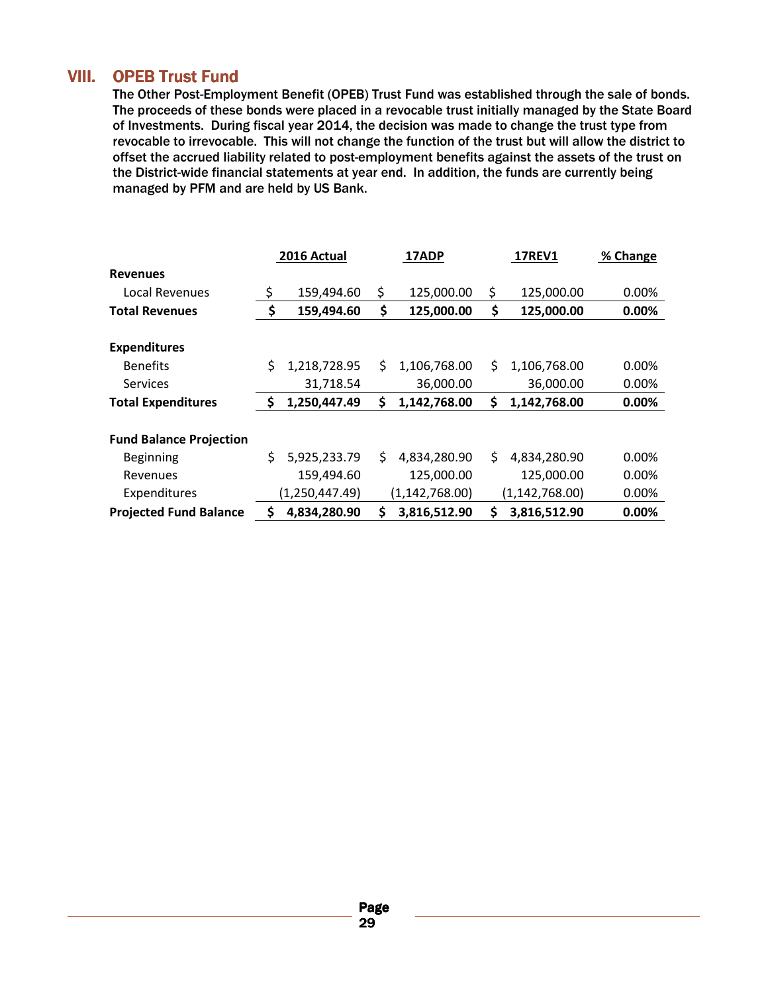### VIII. OPEB Trust Fund

The Other Post-Employment Benefit (OPEB) Trust Fund was established through the sale of bonds. The proceeds of these bonds were placed in a revocable trust initially managed by the State Board of Investments. During fiscal year 2014, the decision was made to change the trust type from revocable to irrevocable. This will not change the function of the trust but will allow the district to offset the accrued liability related to post-employment benefits against the assets of the trust on the District-wide financial statements at year end. In addition, the funds are currently being managed by PFM and are held by US Bank.

|                                |    | 2016 Actual      |     | 17ADP            | <b>17REV1</b> |                  | % Change |
|--------------------------------|----|------------------|-----|------------------|---------------|------------------|----------|
| <b>Revenues</b>                |    |                  |     |                  |               |                  |          |
| Local Revenues                 | \$ | 159,494.60       | \$  | 125,000.00       | \$            | 125,000.00       | 0.00%    |
| <b>Total Revenues</b>          | \$ | 159,494.60       | \$  | 125,000.00       | \$            | 125,000.00       | 0.00%    |
| <b>Expenditures</b>            |    |                  |     |                  |               |                  |          |
| <b>Benefits</b>                | Ś  | 1,218,728.95     | Ś.  | 1,106,768.00     | S.            | 1,106,768.00     | $0.00\%$ |
| <b>Services</b>                |    | 31,718.54        |     | 36,000.00        |               | 36,000.00        | 0.00%    |
| <b>Total Expenditures</b>      | S  | 1,250,447.49     | \$  | 1,142,768.00     | \$            | 1,142,768.00     | 0.00%    |
| <b>Fund Balance Projection</b> |    |                  |     |                  |               |                  |          |
| Beginning                      | \$ | 5,925,233.79     | \$. | 4,834,280.90     | \$.           | 4,834,280.90     | $0.00\%$ |
| Revenues                       |    | 159,494.60       |     | 125,000.00       |               | 125,000.00       | 0.00%    |
| Expenditures                   |    | (1, 250, 447.49) |     | (1, 142, 768.00) |               | (1, 142, 768.00) | 0.00%    |
| <b>Projected Fund Balance</b>  | S  | 4,834,280.90     | \$  | 3,816,512.90     | Ś             | 3,816,512.90     | 0.00%    |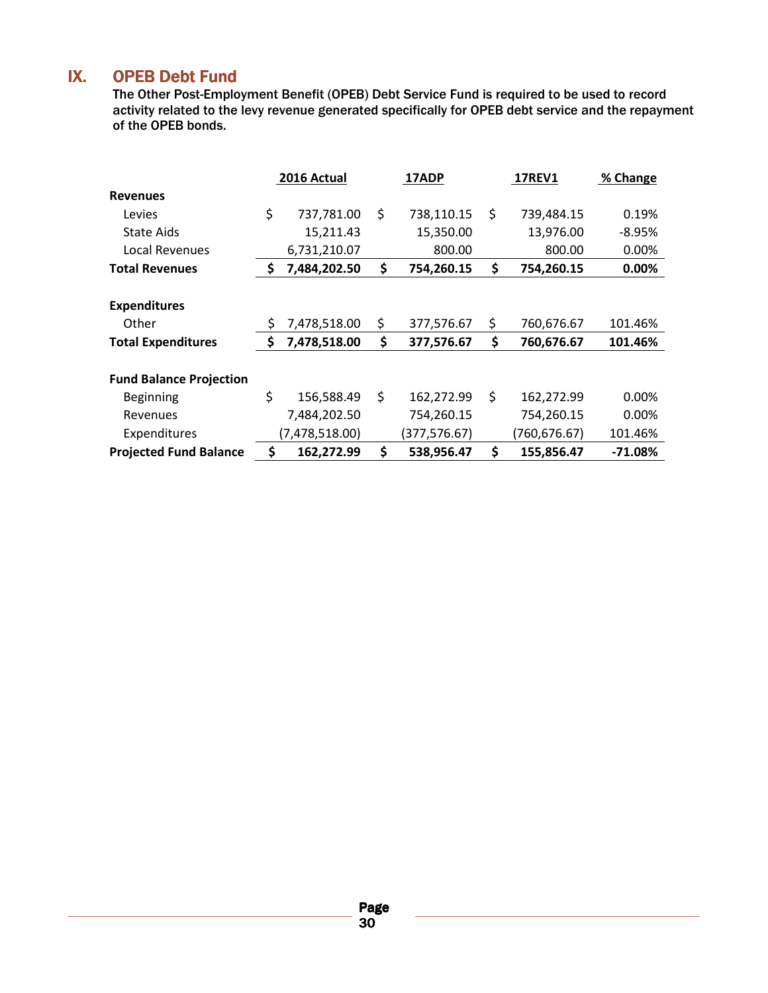### IX. OPEB Debt Fund

The Other Post-Employment Benefit (OPEB) Debt Service Fund is required to be used to record activity related to the levy revenue generated specifically for OPEB debt service and the repayment of the OPEB bonds.

|                                | 2016 Actual        | 17ADP            | <b>17REV1</b>    | % Change  |
|--------------------------------|--------------------|------------------|------------------|-----------|
| <b>Revenues</b>                |                    |                  |                  |           |
| Levies                         | \$<br>737,781.00   | \$<br>738,110.15 | \$<br>739,484.15 | 0.19%     |
| <b>State Aids</b>              | 15,211.43          | 15,350.00        | 13,976.00        | -8.95%    |
| Local Revenues                 | 6,731,210.07       | 800.00           | 800.00           | 0.00%     |
| <b>Total Revenues</b>          | \$<br>7,484,202.50 | \$<br>754,260.15 | \$<br>754,260.15 | 0.00%     |
|                                |                    |                  |                  |           |
| <b>Expenditures</b>            |                    |                  |                  |           |
| Other                          | \$<br>7,478,518.00 | \$<br>377,576.67 | \$<br>760,676.67 | 101.46%   |
| <b>Total Expenditures</b>      | \$<br>7,478,518.00 | \$<br>377,576.67 | \$<br>760,676.67 | 101.46%   |
| <b>Fund Balance Projection</b> |                    |                  |                  |           |
| Beginning                      | \$<br>156,588.49   | \$<br>162,272.99 | \$<br>162,272.99 | $0.00\%$  |
| Revenues                       | 7,484,202.50       | 754,260.15       | 754,260.15       | $0.00\%$  |
| Expenditures                   | (7,478,518.00)     | (377,576.67)     | (760,676.67)     | 101.46%   |
| <b>Projected Fund Balance</b>  | \$<br>162,272.99   | \$<br>538,956.47 | \$<br>155,856.47 | $-71.08%$ |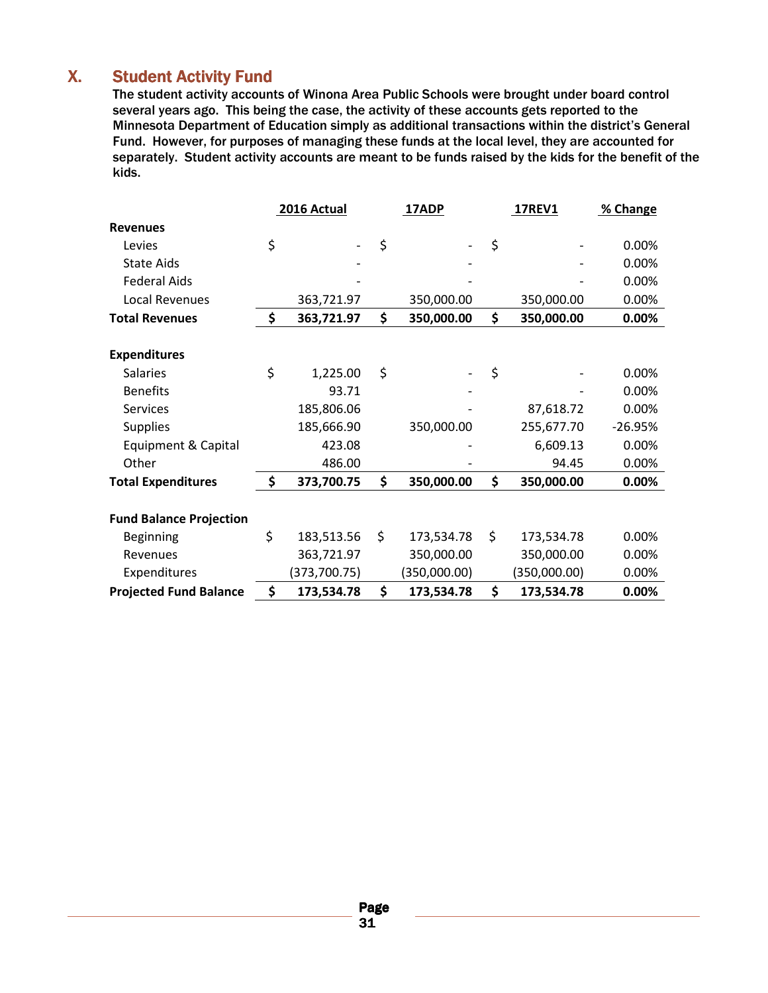### X. Student Activity Fund

The student activity accounts of Winona Area Public Schools were brought under board control several years ago. This being the case, the activity of these accounts gets reported to the Minnesota Department of Education simply as additional transactions within the district's General Fund. However, for purposes of managing these funds at the local level, they are accounted for separately. Student activity accounts are meant to be funds raised by the kids for the benefit of the kids.

|                                | 2016 Actual      | 17ADP            | <b>17REV1</b>    | % Change  |
|--------------------------------|------------------|------------------|------------------|-----------|
| <b>Revenues</b>                |                  |                  |                  |           |
| Levies                         | \$               | \$               | \$               | 0.00%     |
| <b>State Aids</b>              |                  |                  |                  | 0.00%     |
| <b>Federal Aids</b>            |                  |                  |                  | 0.00%     |
| Local Revenues                 | 363,721.97       | 350,000.00       | 350,000.00       | 0.00%     |
| <b>Total Revenues</b>          | \$<br>363,721.97 | \$<br>350,000.00 | \$<br>350,000.00 | 0.00%     |
|                                |                  |                  |                  |           |
| <b>Expenditures</b>            |                  |                  |                  |           |
| <b>Salaries</b>                | \$<br>1,225.00   | \$               | \$               | 0.00%     |
| <b>Benefits</b>                | 93.71            |                  |                  | 0.00%     |
| Services                       | 185,806.06       |                  | 87,618.72        | 0.00%     |
| <b>Supplies</b>                | 185,666.90       | 350,000.00       | 255,677.70       | $-26.95%$ |
| Equipment & Capital            | 423.08           |                  | 6,609.13         | 0.00%     |
| Other                          | 486.00           |                  | 94.45            | 0.00%     |
| <b>Total Expenditures</b>      | \$<br>373,700.75 | \$<br>350,000.00 | \$<br>350,000.00 | $0.00\%$  |
|                                |                  |                  |                  |           |
| <b>Fund Balance Projection</b> |                  |                  |                  |           |
| <b>Beginning</b>               | \$<br>183,513.56 | \$<br>173,534.78 | \$<br>173,534.78 | 0.00%     |
| Revenues                       | 363,721.97       | 350,000.00       | 350,000.00       | 0.00%     |
| Expenditures                   | (373, 700.75)    | (350,000.00)     | (350,000.00)     | 0.00%     |
| <b>Projected Fund Balance</b>  | \$<br>173,534.78 | \$<br>173,534.78 | \$<br>173,534.78 | 0.00%     |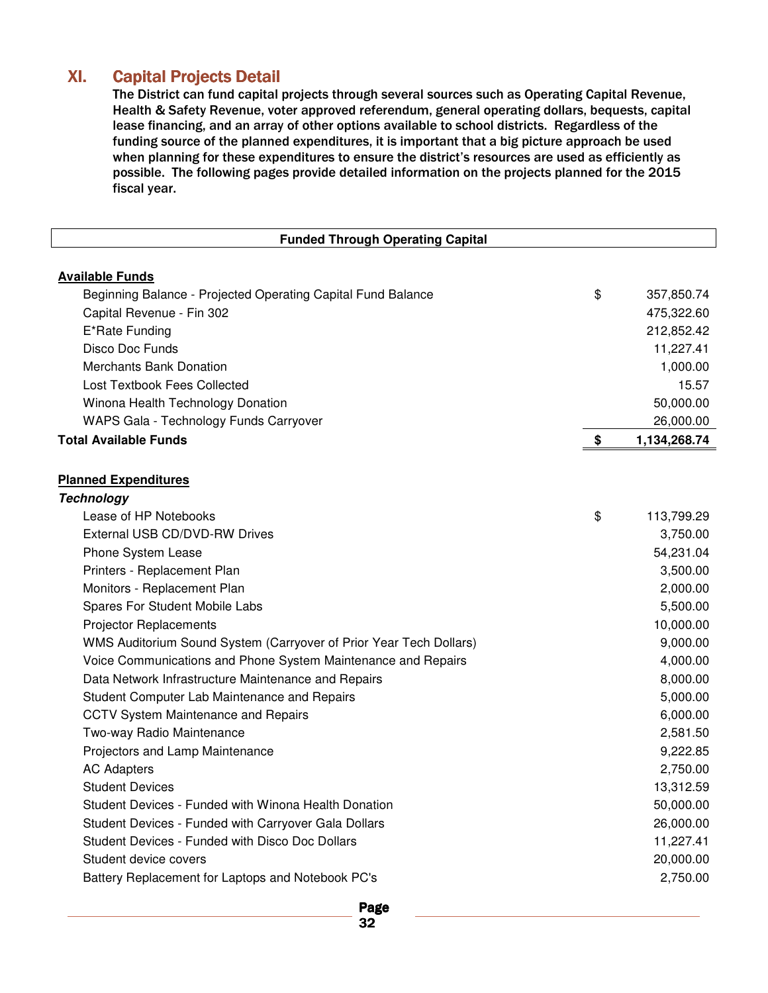### XI. Capital Projects Detail

The District can fund capital projects through several sources such as Operating Capital Revenue, Health & Safety Revenue, voter approved referendum, general operating dollars, bequests, capital lease financing, and an array of other options available to school districts. Regardless of the funding source of the planned expenditures, it is important that a big picture approach be used when planning for these expenditures to ensure the district's resources are used as efficiently as possible. The following pages provide detailed information on the projects planned for the 2015 fiscal year.

| <b>Funded Through Operating Capital</b>                            |                    |
|--------------------------------------------------------------------|--------------------|
| <b>Available Funds</b>                                             |                    |
| Beginning Balance - Projected Operating Capital Fund Balance       | \$<br>357,850.74   |
| Capital Revenue - Fin 302                                          | 475,322.60         |
| E*Rate Funding                                                     | 212,852.42         |
| Disco Doc Funds                                                    | 11,227.41          |
| <b>Merchants Bank Donation</b>                                     | 1,000.00           |
| <b>Lost Textbook Fees Collected</b>                                | 15.57              |
| Winona Health Technology Donation                                  | 50,000.00          |
| WAPS Gala - Technology Funds Carryover                             | 26,000.00          |
| <b>Total Available Funds</b>                                       | \$<br>1,134,268.74 |
|                                                                    |                    |
| <b>Planned Expenditures</b>                                        |                    |
| <b>Technology</b>                                                  |                    |
| Lease of HP Notebooks                                              |                    |
| External USB CD/DVD-RW Drives                                      | \$<br>113,799.29   |
|                                                                    | 3,750.00           |
| Phone System Lease                                                 | 54,231.04          |
| Printers - Replacement Plan                                        | 3,500.00           |
| Monitors - Replacement Plan                                        | 2,000.00           |
| Spares For Student Mobile Labs                                     | 5,500.00           |
| <b>Projector Replacements</b>                                      | 10,000.00          |
| WMS Auditorium Sound System (Carryover of Prior Year Tech Dollars) | 9,000.00           |
| Voice Communications and Phone System Maintenance and Repairs      | 4,000.00           |
| Data Network Infrastructure Maintenance and Repairs                | 8,000.00           |
| Student Computer Lab Maintenance and Repairs                       | 5,000.00           |
| <b>CCTV System Maintenance and Repairs</b>                         | 6,000.00           |
| Two-way Radio Maintenance                                          | 2,581.50           |
| Projectors and Lamp Maintenance                                    | 9,222.85           |
| <b>AC Adapters</b>                                                 | 2,750.00           |
| <b>Student Devices</b>                                             | 13,312.59          |
| Student Devices - Funded with Winona Health Donation               | 50,000.00          |
| Student Devices - Funded with Carryover Gala Dollars               | 26,000.00          |
| Student Devices - Funded with Disco Doc Dollars                    | 11,227.41          |
| Student device covers                                              | 20,000.00          |
| Battery Replacement for Laptops and Notebook PC's                  | 2,750.00           |
|                                                                    |                    |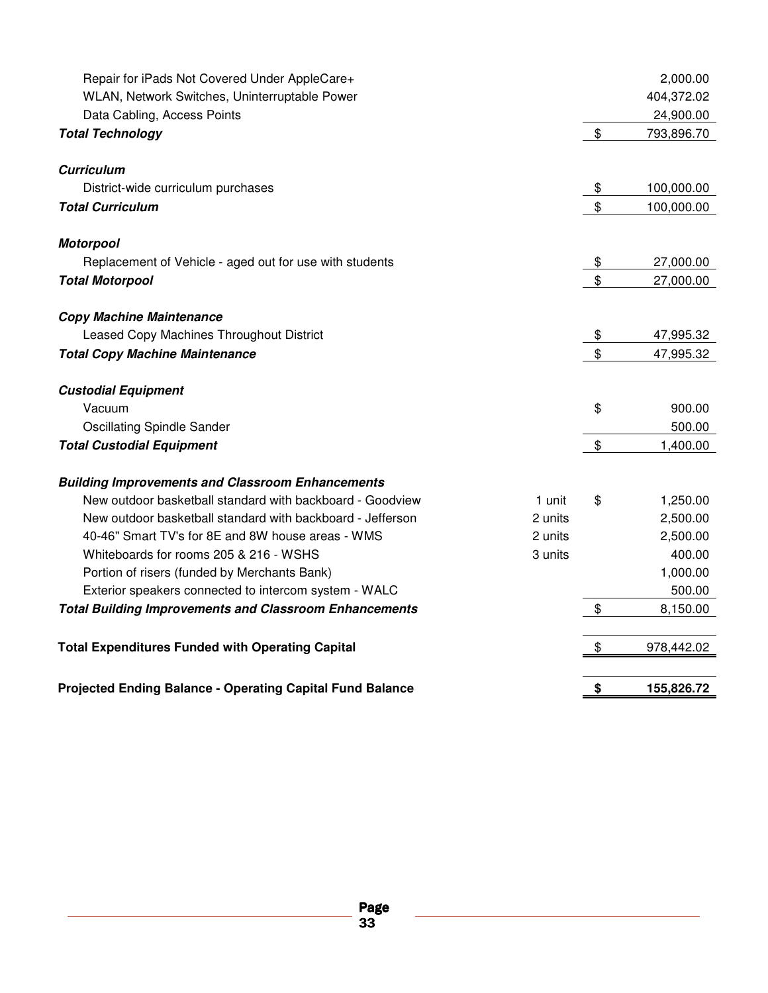| Repair for iPads Not Covered Under AppleCare+                 |         |                | 2,000.00   |
|---------------------------------------------------------------|---------|----------------|------------|
| WLAN, Network Switches, Uninterruptable Power                 |         |                | 404,372.02 |
| Data Cabling, Access Points                                   |         |                | 24,900.00  |
| <b>Total Technology</b>                                       |         | $\$\$          | 793,896.70 |
| <b>Curriculum</b>                                             |         |                |            |
| District-wide curriculum purchases                            |         | \$             | 100,000.00 |
| <b>Total Curriculum</b>                                       |         | $\mathfrak{S}$ | 100,000.00 |
| <b>Motorpool</b>                                              |         |                |            |
| Replacement of Vehicle - aged out for use with students       |         | \$             | 27,000.00  |
| <b>Total Motorpool</b>                                        |         | $\mathfrak{S}$ | 27,000.00  |
| <b>Copy Machine Maintenance</b>                               |         |                |            |
| Leased Copy Machines Throughout District                      |         | \$             | 47,995.32  |
| <b>Total Copy Machine Maintenance</b>                         |         | \$             | 47,995.32  |
| <b>Custodial Equipment</b>                                    |         |                |            |
| Vacuum                                                        |         | \$             | 900.00     |
| <b>Oscillating Spindle Sander</b>                             |         |                | 500.00     |
| <b>Total Custodial Equipment</b>                              |         | \$             | 1,400.00   |
| <b>Building Improvements and Classroom Enhancements</b>       |         |                |            |
| New outdoor basketball standard with backboard - Goodview     | 1 unit  | \$             | 1,250.00   |
| New outdoor basketball standard with backboard - Jefferson    | 2 units |                | 2,500.00   |
| 40-46" Smart TV's for 8E and 8W house areas - WMS             | 2 units |                | 2,500.00   |
| Whiteboards for rooms 205 & 216 - WSHS                        | 3 units |                | 400.00     |
| Portion of risers (funded by Merchants Bank)                  |         |                | 1,000.00   |
| Exterior speakers connected to intercom system - WALC         |         |                | 500.00     |
| <b>Total Building Improvements and Classroom Enhancements</b> |         | \$             | 8,150.00   |
| <b>Total Expenditures Funded with Operating Capital</b>       |         | \$             | 978,442.02 |
| Projected Ending Balance - Operating Capital Fund Balance     |         | \$             | 155,826.72 |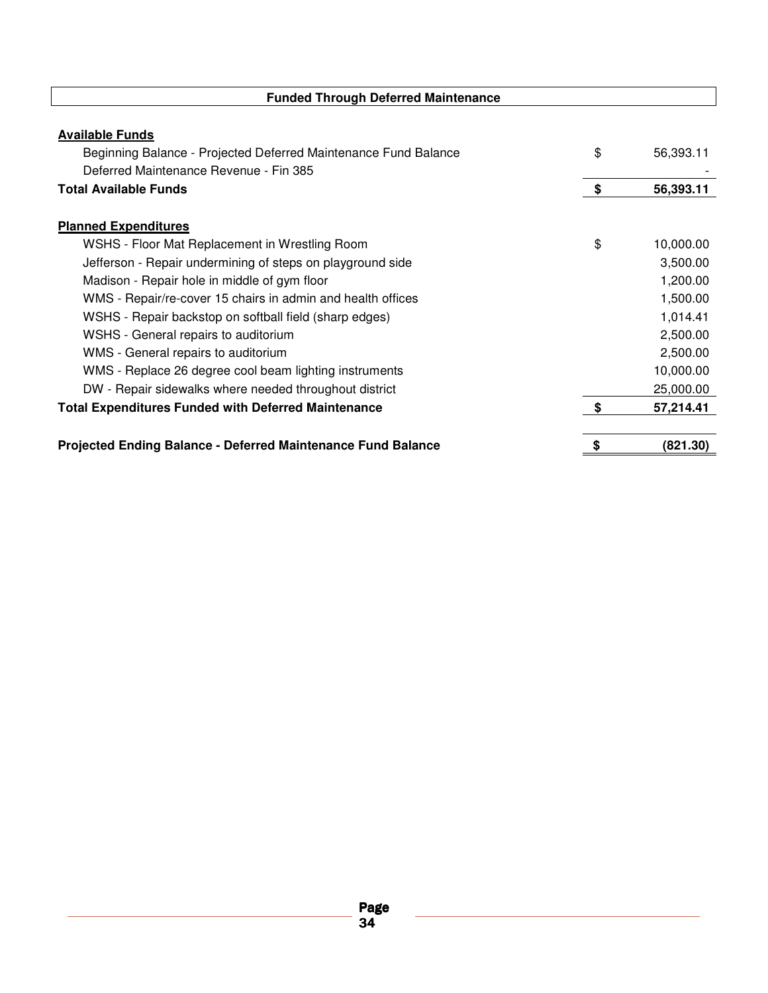| <b>Funded Through Deferred Maintenance</b>                                                |     |           |
|-------------------------------------------------------------------------------------------|-----|-----------|
| <b>Available Funds</b><br>Beginning Balance - Projected Deferred Maintenance Fund Balance | \$  | 56,393.11 |
| Deferred Maintenance Revenue - Fin 385                                                    |     |           |
| <b>Total Available Funds</b>                                                              | \$  | 56,393.11 |
| <b>Planned Expenditures</b>                                                               |     |           |
| WSHS - Floor Mat Replacement in Wrestling Room                                            | \$  | 10,000.00 |
| Jefferson - Repair undermining of steps on playground side                                |     | 3,500.00  |
| Madison - Repair hole in middle of gym floor                                              |     | 1,200.00  |
| WMS - Repair/re-cover 15 chairs in admin and health offices                               |     | 1,500.00  |
| WSHS - Repair backstop on softball field (sharp edges)                                    |     | 1,014.41  |
| WSHS - General repairs to auditorium                                                      |     | 2,500.00  |
| WMS - General repairs to auditorium                                                       |     | 2,500.00  |
| WMS - Replace 26 degree cool beam lighting instruments                                    |     | 10,000.00 |
| DW - Repair sidewalks where needed throughout district                                    |     | 25,000.00 |
| <b>Total Expenditures Funded with Deferred Maintenance</b>                                | -\$ | 57,214.41 |
| <b>Projected Ending Balance - Deferred Maintenance Fund Balance</b>                       | \$  | (821.30)  |

ī

h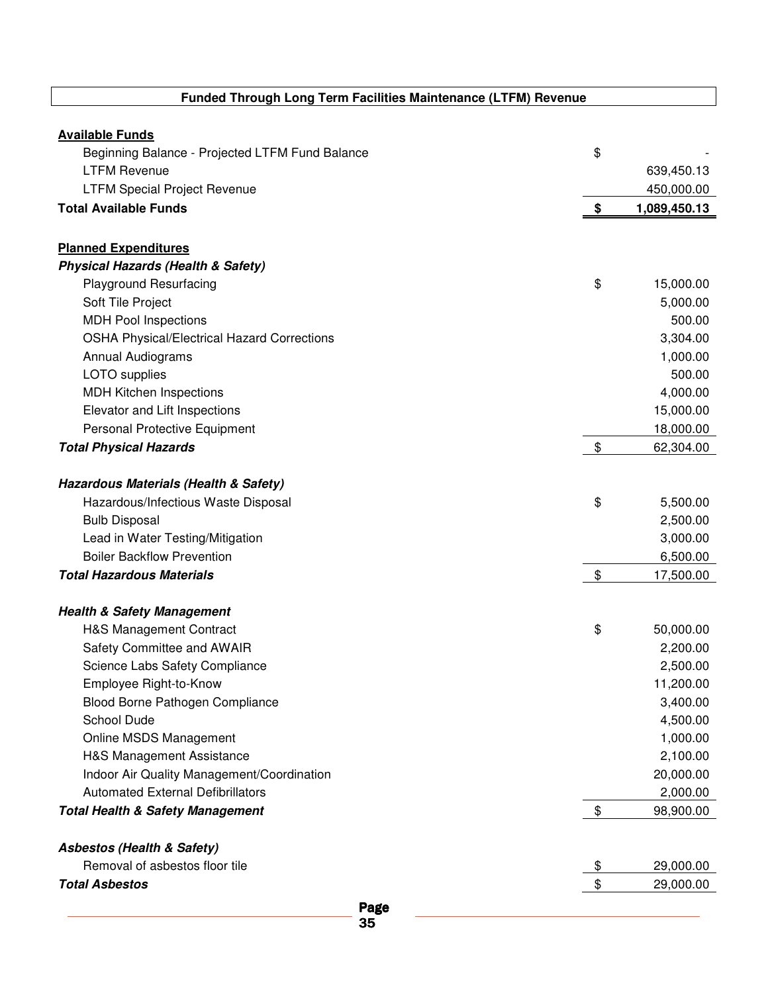### **Funded Through Long Term Facilities Maintenance (LTFM) Revenue**

| <b>Available Funds</b>                             |                    |
|----------------------------------------------------|--------------------|
| Beginning Balance - Projected LTFM Fund Balance    | \$                 |
| <b>LTFM Revenue</b>                                | 639,450.13         |
| <b>LTFM Special Project Revenue</b>                | 450,000.00         |
| <b>Total Available Funds</b>                       | \$<br>1,089,450.13 |
| <b>Planned Expenditures</b>                        |                    |
| <b>Physical Hazards (Health &amp; Safety)</b>      |                    |
| <b>Playground Resurfacing</b>                      | \$<br>15,000.00    |
| Soft Tile Project                                  | 5,000.00           |
| <b>MDH Pool Inspections</b>                        | 500.00             |
| <b>OSHA Physical/Electrical Hazard Corrections</b> | 3,304.00           |
| <b>Annual Audiograms</b>                           | 1,000.00           |
| LOTO supplies                                      | 500.00             |
| <b>MDH Kitchen Inspections</b>                     | 4,000.00           |
| Elevator and Lift Inspections                      | 15,000.00          |
| Personal Protective Equipment                      | 18,000.00          |
| <b>Total Physical Hazards</b>                      | \$<br>62,304.00    |
| Hazardous Materials (Health & Safety)              |                    |
| Hazardous/Infectious Waste Disposal                | \$<br>5,500.00     |
| <b>Bulb Disposal</b>                               | 2,500.00           |
| Lead in Water Testing/Mitigation                   | 3,000.00           |
| <b>Boiler Backflow Prevention</b>                  | 6,500.00           |
| <b>Total Hazardous Materials</b>                   | \$<br>17,500.00    |
| <b>Health &amp; Safety Management</b>              |                    |
| H&S Management Contract                            | \$<br>50,000.00    |
| Safety Committee and AWAIR                         | 2,200.00           |
| Science Labs Safety Compliance                     | 2,500.00           |
| Employee Right-to-Know                             | 11,200.00          |
| Blood Borne Pathogen Compliance                    | 3,400.00           |
| School Dude                                        | 4,500.00           |
| Online MSDS Management                             | 1,000.00           |
| H&S Management Assistance                          | 2,100.00           |
| Indoor Air Quality Management/Coordination         | 20,000.00          |
| <b>Automated External Defibrillators</b>           | 2,000.00           |
| <b>Total Health &amp; Safety Management</b>        | \$<br>98,900.00    |
| <b>Asbestos (Health &amp; Safety)</b>              |                    |
| Removal of asbestos floor tile                     | \$<br>29,000.00    |
| <b>Total Asbestos</b>                              | \$<br>29,000.00    |
| Page                                               |                    |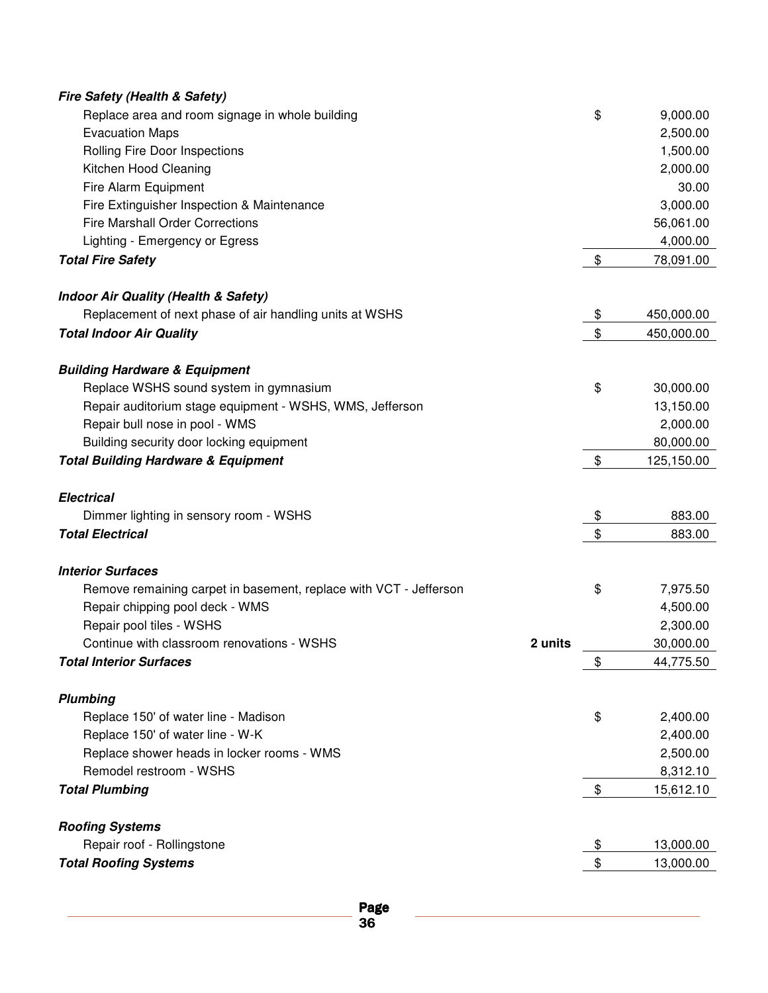| <b>Fire Safety (Health &amp; Safety)</b>                          |                  |
|-------------------------------------------------------------------|------------------|
| Replace area and room signage in whole building                   | \$<br>9,000.00   |
| <b>Evacuation Maps</b>                                            | 2,500.00         |
| Rolling Fire Door Inspections                                     | 1,500.00         |
| Kitchen Hood Cleaning                                             | 2,000.00         |
| Fire Alarm Equipment                                              | 30.00            |
| Fire Extinguisher Inspection & Maintenance                        | 3,000.00         |
| <b>Fire Marshall Order Corrections</b>                            | 56,061.00        |
| Lighting - Emergency or Egress                                    | 4,000.00         |
| <b>Total Fire Safety</b>                                          | \$<br>78,091.00  |
|                                                                   |                  |
| <b>Indoor Air Quality (Health &amp; Safety)</b>                   |                  |
| Replacement of next phase of air handling units at WSHS           | \$<br>450,000.00 |
| <b>Total Indoor Air Quality</b>                                   | \$<br>450,000.00 |
| <b>Building Hardware &amp; Equipment</b>                          |                  |
| Replace WSHS sound system in gymnasium                            | \$<br>30,000.00  |
| Repair auditorium stage equipment - WSHS, WMS, Jefferson          | 13,150.00        |
| Repair bull nose in pool - WMS                                    | 2,000.00         |
| Building security door locking equipment                          | 80,000.00        |
| <b>Total Building Hardware &amp; Equipment</b>                    | \$<br>125,150.00 |
|                                                                   |                  |
| <b>Electrical</b>                                                 |                  |
| Dimmer lighting in sensory room - WSHS                            | \$<br>883.00     |
| <b>Total Electrical</b>                                           | \$<br>883.00     |
| <b>Interior Surfaces</b>                                          |                  |
| Remove remaining carpet in basement, replace with VCT - Jefferson | \$<br>7,975.50   |
| Repair chipping pool deck - WMS                                   | 4,500.00         |
| Repair pool tiles - WSHS                                          | 2,300.00         |
| 2 units<br>Continue with classroom renovations - WSHS             | 30,000.00        |
| <b>Total Interior Surfaces</b>                                    | \$<br>44,775.50  |
|                                                                   |                  |
| <b>Plumbing</b>                                                   |                  |
| Replace 150' of water line - Madison                              | \$<br>2,400.00   |
| Replace 150' of water line - W-K                                  | 2,400.00         |
| Replace shower heads in locker rooms - WMS                        | 2,500.00         |
| Remodel restroom - WSHS                                           | 8,312.10         |
| <b>Total Plumbing</b>                                             | \$<br>15,612.10  |
|                                                                   |                  |
| <b>Roofing Systems</b>                                            |                  |
| Repair roof - Rollingstone                                        | \$<br>13,000.00  |
| <b>Total Roofing Systems</b>                                      | \$<br>13,000.00  |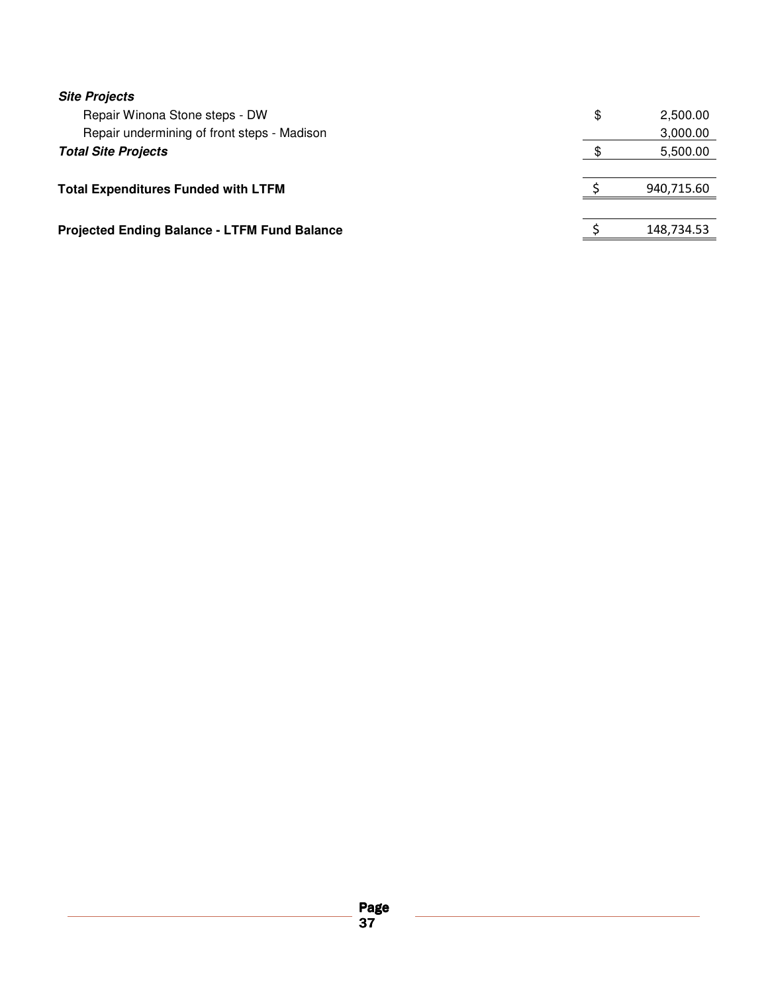| <b>Site Projects</b>                                |                |
|-----------------------------------------------------|----------------|
| Repair Winona Stone steps - DW                      | \$<br>2,500.00 |
| Repair undermining of front steps - Madison         | 3,000.00       |
| <b>Total Site Projects</b>                          | 5,500.00       |
|                                                     |                |
| <b>Total Expenditures Funded with LTFM</b>          | 940,715.60     |
|                                                     |                |
| <b>Projected Ending Balance - LTFM Fund Balance</b> | 148,734.53     |
|                                                     |                |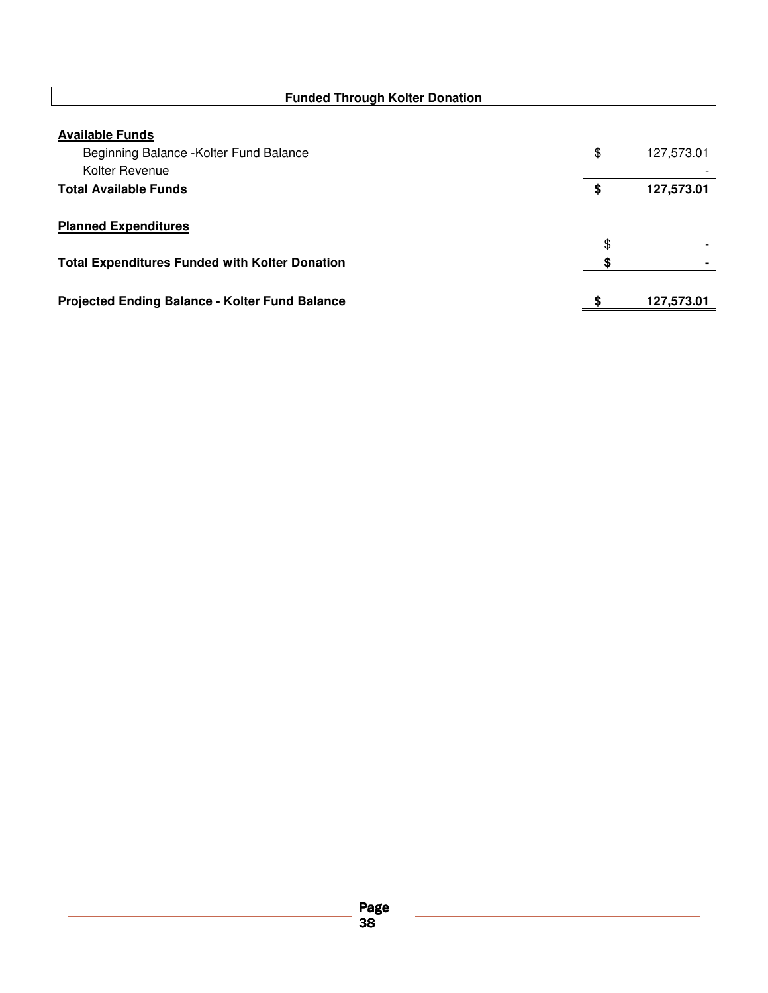| <b>Funded Through Kolter Donation</b>                                               |                  |
|-------------------------------------------------------------------------------------|------------------|
| <b>Available Funds</b><br>Beginning Balance - Kolter Fund Balance<br>Kolter Revenue | \$<br>127,573.01 |
| <b>Total Available Funds</b>                                                        | 127,573.01       |
| <b>Planned Expenditures</b>                                                         | \$               |
| <b>Total Expenditures Funded with Kolter Donation</b>                               |                  |
| <b>Projected Ending Balance - Kolter Fund Balance</b>                               | 127,573.01       |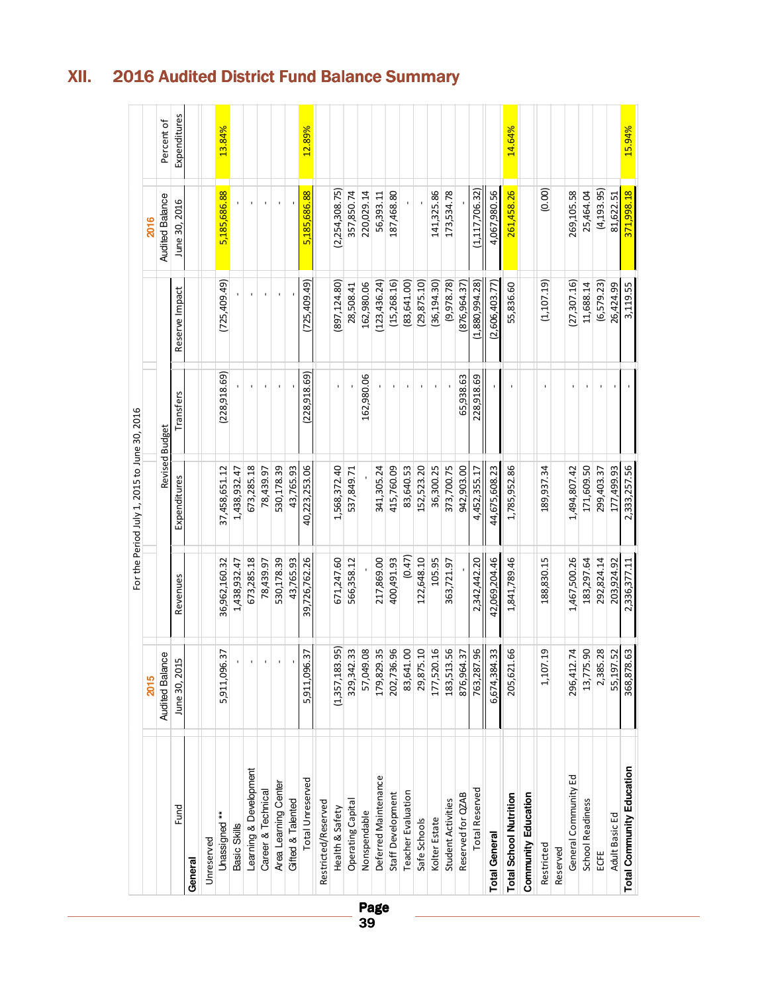|                                  |                        |               | For the Period July 1, 2015 to June 30, 2016 |                |                |                        |              |
|----------------------------------|------------------------|---------------|----------------------------------------------|----------------|----------------|------------------------|--------------|
|                                  | 2015                   |               |                                              |                |                | 2016                   |              |
|                                  | <b>Audited Balance</b> |               | Revised Budget                               |                |                | <b>Audited Balance</b> | Percent of   |
| Fund                             | Lŋ<br>June 30, 20      | Revenues      | Expenditures                                 | Transfers      | Reserve Impact | June 30, 2016          | Expenditures |
| General                          |                        |               |                                              |                |                |                        |              |
| Unreserved                       |                        |               |                                              |                |                |                        |              |
| Unassigned**                     | 6.37<br>5,911,096      | 36,962,160.32 | 37,458,651.12                                | (228, 918.69)  | (725,409.49)   | 5,185,686.88           | 13.84%       |
| Basic Skills                     | $\mathbf{r}$           | 1,438,932.47  | 1,438,932.47                                 |                |                |                        |              |
| Learning & Development           | $\mathbf{r}$           | 673,285.18    | 673,285.18                                   |                | $\blacksquare$ | $\mathbf{I}$           |              |
| Career & Technical               | $\mathbf{r}$           | 78,439.97     | 78,439.97                                    |                |                | ٠                      |              |
| Area Learning Center             | $\mathbf{r}$           | 530,178.39    | 530,178.39                                   |                | ٠              | ٠                      |              |
| <b>Gifted &amp; Talented</b>     | $\mathbf{r}$           | 43,765.93     | 43,765.93                                    |                |                |                        |              |
| Total Unreserved                 | 5,911,096.37           | 39,726,762.26 | 40,223,253.06                                | (228, 918, 69) | (725,409.49)   | 5,185,686.88           | 12.89%       |
| Restricted/Reserved              |                        |               |                                              |                |                |                        |              |
| Health & Safety                  | (1,357,183.95)         | 671,247.60    | 1,568,372.40                                 |                | 897,124.80)    | (2,254,308.75)         |              |
| <b>Operating Capital</b>         | 329,342.33             | 566,358.12    | 537,849.71                                   |                | 28,508.41      | 357,850.74             |              |
| Nonspendable                     | 57,049.08              |               |                                              | 162,980.06     | 162,980.06     | 220,029.14             |              |
| Deferred Maintenance             | 179,829.35             | 217,869.00    | 341,305.24                                   |                | (123, 436.24)  | 56,393.11              |              |
| Staff Development<br>Page        | 202,736.96             | 400,491.93    | 415,760.09                                   |                | (15,268.16)    | 187,468.80             |              |
| Teacher Evaluation               | 83,641.00              | (0.47)        | 83,640.53                                    |                | (83, 641.00)   |                        |              |
| Safe Schools                     | 29,875.10              | 122,648.10    | 152,523.20                                   |                | (29, 875.10)   |                        |              |
| Kolter Estate                    | 177,520.16             | 105.95        | 36,300.25                                    |                | (36, 194.30)   | 141,325.86             |              |
| Student Activities               | 183,513.56             | 363,721.97    | 373,700.75                                   |                | (9,978.78)     | 173,534.78             |              |
| Reserved for QZAB                | 876,964.37             |               | 942,903.00                                   | 65,938.63      | (876,964.37)   |                        |              |
| <b>Total Reserved</b>            | 763,287.96             | 2,342,442.20  | 4,452,355.17                                 | 228,918.69     | (1,880,994.28) | (1, 117, 706.32)       |              |
| <b>Total General</b>             | 6,674,384.33           | 42,069,204.46 | 44,675,608.23                                |                | (2,606,403.77) | 4,067,980.56           |              |
| <b>Total School Nutrition</b>    | 1.66<br>205,62         | 1,841,789.46  | 1,785,952.86                                 |                | 55,836.60      | 261,458.26             | 14.64%       |
| <b>Community Education</b>       |                        |               |                                              |                |                |                        |              |
| Restricted                       | 7.19<br>1,107          | 188,830.15    | 189,937.34                                   |                | (1, 107.19)    | (0.00)                 |              |
| Reserved                         |                        |               |                                              |                |                |                        |              |
| General Community Ed             | 296,412.74             | 1,467,500.26  | 1,494,807.42                                 |                | (27, 307.16)   | 269,105.58             |              |
| School Readiness                 | 13,775.90              | 183,297.64    | 171,609.50                                   |                | 11,688.14      | 25,464.04              |              |
| ECFE                             | 2,385.28               | 292,824.14    | 299,403.37                                   |                | (6, 579.23)    | (4, 193.95)            |              |
| Adult Basic Ed                   | 55,197.52              | 203,924.92    | 177,499.93                                   |                | 26,424.99      | 81, 622.51             |              |
| <b>Total Community Education</b> | 368,878.63             | 2,336,377.11  | 2,333,257.56                                 |                | 3,119.55       | 371,998.18             | 15.94%       |

### XII. 2016 Audited District Fund Balance Summary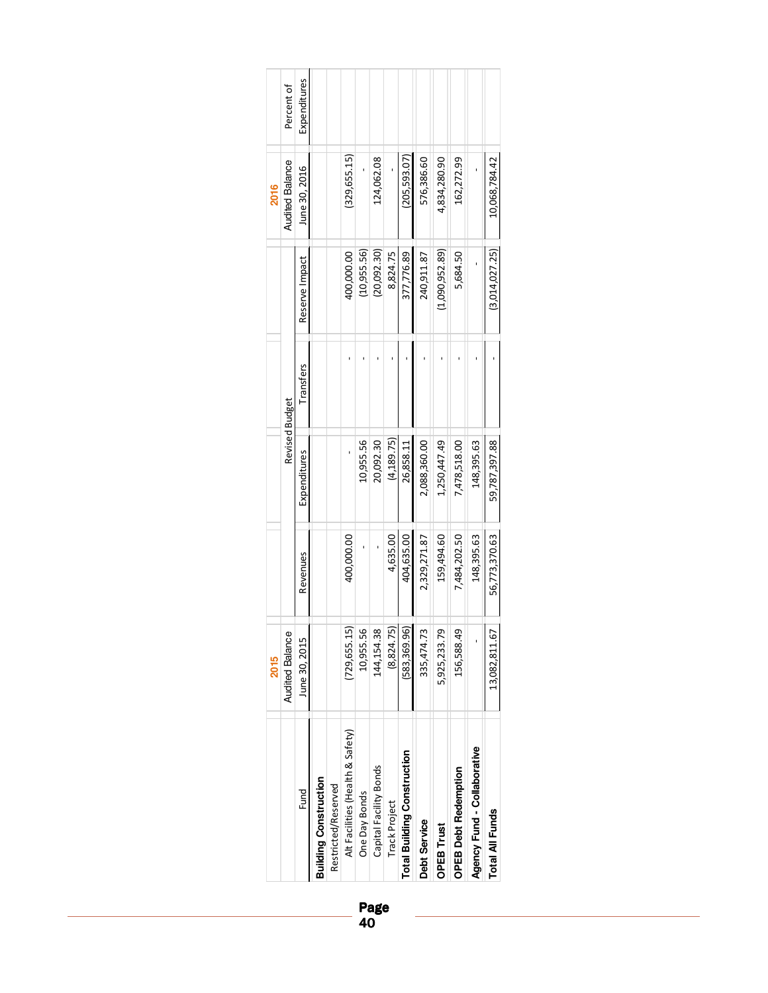|             |                        |                |                              |                     |                                  |               | Page<br>40             |               |                                    |              |                   |                             |                             |                 |
|-------------|------------------------|----------------|------------------------------|---------------------|----------------------------------|---------------|------------------------|---------------|------------------------------------|--------------|-------------------|-----------------------------|-----------------------------|-----------------|
|             |                        | Fund           | <b>Building Construction</b> | Restricted/Reserved | Alt Facilities (Health & Safety) | One Day Bonds | Capital Facility Bonds | Track Project | <b>Total Building Construction</b> | Debt Service | <b>OPEB Trust</b> | <b>OPEB Debt Redemption</b> | Agency Fund - Collaborative | Total All Funds |
| <b>2015</b> | <b>Audited Balance</b> | June 30, 2015  |                              |                     | (729, 655.15)                    | 10,955.56     | 144,154.38             | (8,824.75)    | (583, 369.96)                      | 335,474.73   | 5,925,233.79      | 156,588.49                  |                             | 13,082,811.67   |
|             |                        | Revenues       |                              |                     | 400,000.00                       |               | $\mathbf{I}$           | 4,635.00      | 404,635.00                         | 2,329,271.87 | 159,494.60        | 7,484,202.50                | 148,395.63                  | 56,773,370.63   |
|             | Revised Budget         | Expenditures   |                              |                     |                                  | 10,955.56     | 20,092.30              | (4, 189.75)   | 26,858.11                          | 2,088,360.00 | 1,250,447.49      | 7,478,518.00                | 148,395.63                  | 59,787,397.88   |
|             |                        | Transfers      |                              |                     | ٠                                | ı             | ı                      |               |                                    | ı            | f,                | ı                           |                             |                 |
|             |                        | Reserve Impact |                              |                     | 400,000.00                       | (10,955.56)   | (20,092.30)            | 8,824.75      | 377,776.89                         | 240,911.87   | (1,090,952.89)    | 5,684.50                    |                             | (3,014,027.25)  |
| 2016        | <b>Audited Balance</b> | June 30, 2016  |                              |                     | (329, 655.15)                    |               | 124,062.08             |               | (205, 593.07)                      | 576,386.60   | 4,834,280.90      | 162,272.99                  |                             | 10,068,784.42   |
|             | Percent of             | Expenditures   |                              |                     |                                  |               |                        |               |                                    |              |                   |                             |                             |                 |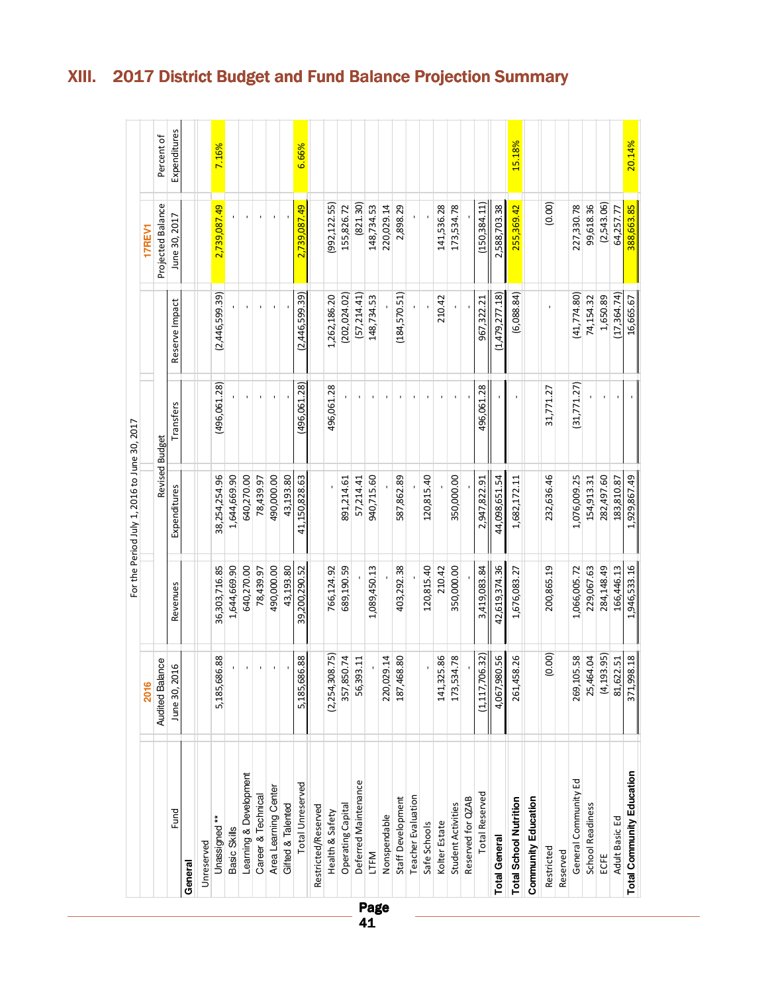|                               |                        |               | For the Period July 1, 2016 to June 30, 2017 |                |                |                   |              |
|-------------------------------|------------------------|---------------|----------------------------------------------|----------------|----------------|-------------------|--------------|
|                               | 2016                   |               |                                              |                |                | 17REV1            |              |
|                               | <b>Audited Balance</b> |               | Revised Budget                               |                |                | Projected Balance | Percent of   |
| Fund                          | June 30, 2016          | Revenues      | Expenditures                                 | Transfers      | Reserve Impact | June 30, 2017     | Expenditures |
| General                       |                        |               |                                              |                |                |                   |              |
| Unreserved                    |                        |               |                                              |                |                |                   |              |
| $\ddot{*}$<br>Unassigned      | 5,185,686.88           | 36,303,716.85 | 38, 254, 254.96                              | (496,061.28)   | (2,446,599.39) | 2,739,087.49      | 7.16%        |
| Basic Skills                  |                        | 1,644,669.90  | 1,644,669.90                                 |                |                |                   |              |
| Learning & Development        |                        | 640,270.00    | 640,270.00                                   |                |                |                   |              |
| Career & Technical            | $\mathbf{r}$           | 78,439.97     | 78,439.97                                    |                |                |                   |              |
| Area Learning Center          |                        | 490,000.00    | 490,000.00                                   |                |                |                   |              |
| Gifted & Talented             |                        | 43,193.80     | 43,193.80                                    |                |                |                   |              |
| <b>Total Unreserved</b>       | 586.88<br>5,185,       | 39,200,290.52 | 41,150,828.63                                | (496,061.28)   | (2,446,599.39) | 2,739,087.49      | 6.66%        |
| Restricted/Reserved           |                        |               |                                              |                |                |                   |              |
| Health & Safety               | (2,254,308.75)         | 766,124.92    |                                              | 496,061.28     | 1,262,186.20   | (992, 122.55)     |              |
| Operating Capital             | 357,850.74             | 689,190.59    | 891,214.61                                   |                | (202, 024.02)  | 155,826.72        |              |
| Deferred Maintenance          | 56,393.11              |               | 57,214.41                                    |                | (57, 214.41)   | (821.30)          |              |
| LTFM<br>Page                  |                        | 1,089,450.13  | 940,715.60                                   | $\blacksquare$ | 148,734.53     | 148,734.53        |              |
| Nonspendable                  | 220,029.14             |               |                                              | $\blacksquare$ |                | 220,029.14        |              |
| Staff Development             | 187,468.80             | 403,292.38    | 587,862.89                                   | $\blacksquare$ | (184, 570.51)  | 2,898.29          |              |
| <b>Teacher Evaluation</b>     |                        |               |                                              |                |                |                   |              |
| Safe Schools                  |                        | 120,815.40    | 120,815.40                                   |                |                |                   |              |
| Kolter Estate                 | 141,325.86             | 210.42        |                                              |                | 210.42         | 141,536.28        |              |
| Student Activities            | 173,534.78             | 350,000.00    | 350,000.00                                   | $\blacksquare$ |                | 173,534.78        |              |
| Reserved for QZAB             |                        |               |                                              |                |                |                   |              |
| <b>Total Reserved</b>         | 706.32)<br>(1, 117)    | 3,419,083.84  | 2,947,822.91                                 | 496,061.28     | 967,322.21     | (150, 384, 11)    |              |
| <b>Total General</b>          | 980.56<br>4,067,       | 42,619,374.36 | 44,098,651.54                                |                | (1,479,277.18) | 2,588,703.38      |              |
| <b>Total School Nutrition</b> | 261,458.26             | 1,676,083.27  | 1,682,172.11                                 |                | (6,088.84)     | 255,369.42        | 15.18%       |
| Community Education           |                        |               |                                              |                |                |                   |              |
| Restricted                    | (0.00)                 | 200,865.19    | 232,636.46                                   | 31,771.27      | $\mathbf{I}$   | (0.00)            |              |
| Reserved                      |                        |               |                                              |                |                |                   |              |
| General Community Ed          | 105.58<br>269,1        | 1,066,005.72  | 1,076,009.25                                 | (31, 771.27)   | (41, 774.80)   | 227,330.78        |              |
| School Readiness              | 25,464.04              | 229,067.63    | 154,913.31                                   |                | 74,154.32      | 99,618.36         |              |
| ECFE                          | (4, 193.95)            | 284,148.49    | 282,497.60                                   | $\blacksquare$ | 1,650.89       | (2,543.06)        |              |
| Adult Basic Ed                | 81,622.51              | 166,446.13    | 183,810.87                                   |                | (17,364.74)    | 64,257.77         |              |
| Total Community Education     | 371,998.18             | 1,946,533.16  | 1,929,867.49                                 |                | 16,665.67      | 388,663.85        | 20.14%       |

# XIII. 2017 District Budget and Fund Balance Projection Summary